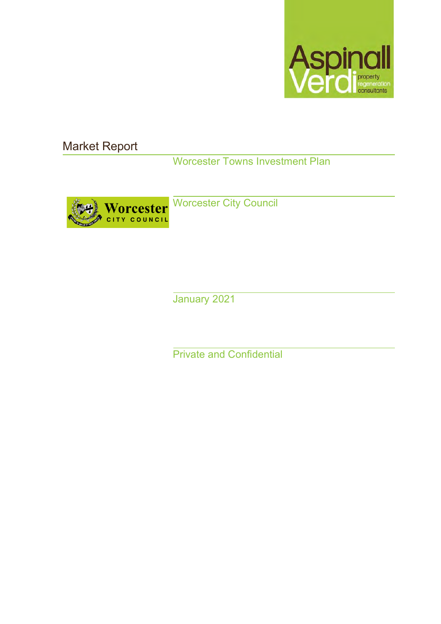

Market Report

Worcester Towns Investment Plan



Worcester City Council

January 2021

Private and Confidential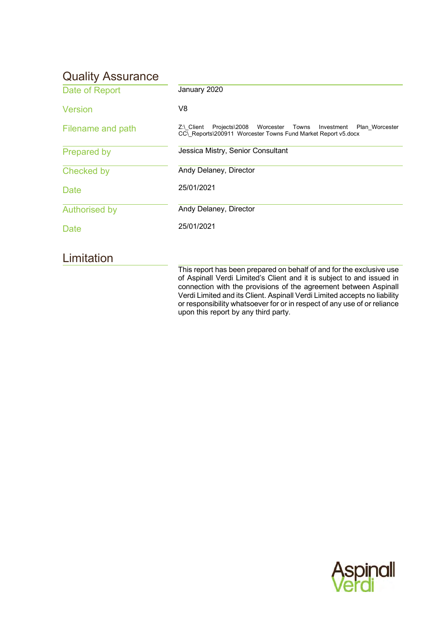# Quality Assurance

| Date of Report       | January 2020                                                                                                                                            |
|----------------------|---------------------------------------------------------------------------------------------------------------------------------------------------------|
| Version              | V8                                                                                                                                                      |
| Filename and path    | $Z \land$ Client<br>Projects\2008<br>Worcester<br>Towns<br>Investment<br>Plan Worcester<br>CC\Reports\200911 Worcester Towns Fund Market Report v5.docx |
| <b>Prepared by</b>   | Jessica Mistry, Senior Consultant                                                                                                                       |
| Checked by           | Andy Delaney, Director                                                                                                                                  |
| Date                 | 25/01/2021                                                                                                                                              |
| <b>Authorised by</b> | Andy Delaney, Director                                                                                                                                  |
| Date                 | 25/01/2021                                                                                                                                              |
| Limitation           |                                                                                                                                                         |
|                      | This report has been prepared on behalf of and for the exclusive use<br>of Asninall Verdi Limited's Client and it is subject to and issued in           |

of Aspinall Verdi Limited's Client and it is subject to and issued in connection with the provisions of the agreement between Aspinall Verdi Limited and its Client. Aspinall Verdi Limited accepts no liability or responsibility whatsoever for or in respect of any use of or reliance upon this report by any third party.

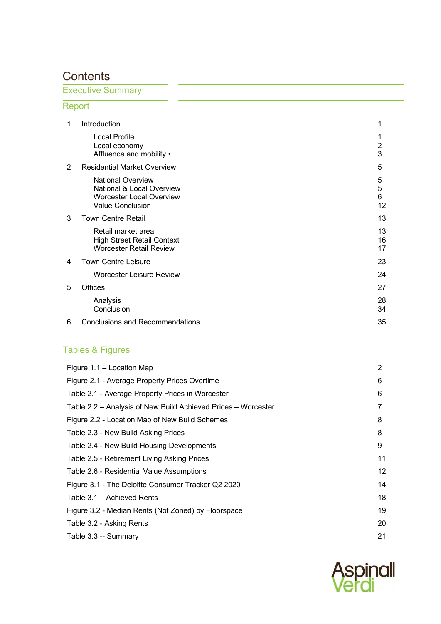# **Contents**

# Executive Summary

# Report

| $\mathbf 1$ | Introduction                                                                                                        | 1                   |
|-------------|---------------------------------------------------------------------------------------------------------------------|---------------------|
|             | <b>Local Profile</b><br>Local economy<br>Affluence and mobility •                                                   | $\overline{2}$<br>3 |
| 2           | <b>Residential Market Overview</b>                                                                                  | 5                   |
|             | <b>National Overview</b><br>National & Local Overview<br><b>Worcester Local Overview</b><br><b>Value Conclusion</b> | 5<br>5<br>6<br>12   |
| 3           | <b>Town Centre Retail</b>                                                                                           | 13                  |
|             | Retail market area<br><b>High Street Retail Context</b><br><b>Worcester Retail Review</b>                           | 13<br>16<br>17      |
| 4           | <b>Town Centre Leisure</b>                                                                                          | 23                  |
|             | <b>Worcester Leisure Review</b>                                                                                     | 24                  |
| 5           | <b>Offices</b>                                                                                                      | 27                  |
|             | Analysis<br>Conclusion                                                                                              | 28<br>34            |
| 6           | <b>Conclusions and Recommendations</b>                                                                              | 35                  |

# Tables & Figures

| Figure $1.1 -$ Location Map                                   | 2  |
|---------------------------------------------------------------|----|
| Figure 2.1 - Average Property Prices Overtime                 | 6  |
| Table 2.1 - Average Property Prices in Worcester              | 6  |
| Table 2.2 - Analysis of New Build Achieved Prices - Worcester | 7  |
| Figure 2.2 - Location Map of New Build Schemes                | 8  |
| Table 2.3 - New Build Asking Prices                           | 8  |
| Table 2.4 - New Build Housing Developments                    | 9  |
| Table 2.5 - Retirement Living Asking Prices                   | 11 |
| Table 2.6 - Residential Value Assumptions                     | 12 |
| Figure 3.1 - The Deloitte Consumer Tracker Q2 2020            | 14 |
| Table 3.1 - Achieved Rents                                    | 18 |
| Figure 3.2 - Median Rents (Not Zoned) by Floorspace           | 19 |
| Table 3.2 - Asking Rents                                      | 20 |
| Table 3.3 -- Summary                                          | 21 |

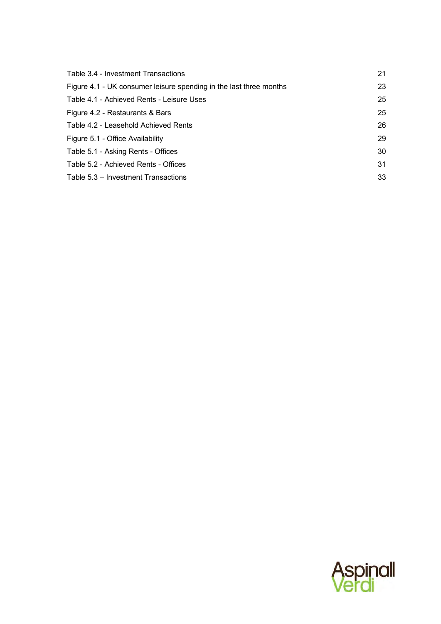| Table 3.4 - Investment Transactions                                | 21 |
|--------------------------------------------------------------------|----|
| Figure 4.1 - UK consumer leisure spending in the last three months | 23 |
| Table 4.1 - Achieved Rents - Leisure Uses                          | 25 |
| Figure 4.2 - Restaurants & Bars                                    | 25 |
| Table 4.2 - Leasehold Achieved Rents                               | 26 |
| Figure 5.1 - Office Availability                                   | 29 |
| Table 5.1 - Asking Rents - Offices                                 | 30 |
| Table 5.2 - Achieved Rents - Offices                               | 31 |
| Table 5.3 – Investment Transactions                                | 33 |

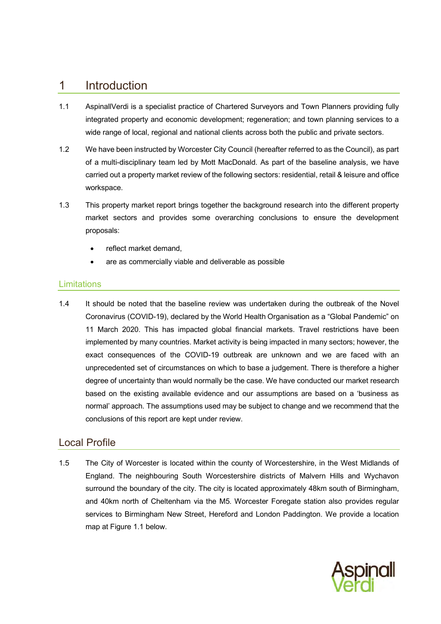# <span id="page-4-0"></span>1 Introduction

- 1.1 AspinallVerdi is a specialist practice of Chartered Surveyors and Town Planners providing fully integrated property and economic development; regeneration; and town planning services to a wide range of local, regional and national clients across both the public and private sectors.
- 1.2 We have been instructed by Worcester City Council (hereafter referred to as the Council), as part of a multi-disciplinary team led by Mott MacDonald. As part of the baseline analysis, we have carried out a property market review of the following sectors: residential, retail & leisure and office workspace.
- 1.3 This property market report brings together the background research into the different property market sectors and provides some overarching conclusions to ensure the development proposals:
	- reflect market demand.
	- are as commercially viable and deliverable as possible

### **Limitations**

1.4 It should be noted that the baseline review was undertaken during the outbreak of the Novel Coronavirus (COVID-19), declared by the World Health Organisation as a "Global Pandemic" on 11 March 2020. This has impacted global financial markets. Travel restrictions have been implemented by many countries. Market activity is being impacted in many sectors; however, the exact consequences of the COVID-19 outbreak are unknown and we are faced with an unprecedented set of circumstances on which to base a judgement. There is therefore a higher degree of uncertainty than would normally be the case. We have conducted our market research based on the existing available evidence and our assumptions are based on a 'business as normal' approach. The assumptions used may be subject to change and we recommend that the conclusions of this report are kept under review.

### <span id="page-4-1"></span>Local Profile

1.5 The City of Worcester is located within the county of Worcestershire, in the West Midlands of England. The neighbouring South Worcestershire districts of Malvern Hills and Wychavon surround the boundary of the city. The city is located approximately 48km south of Birmingham, and 40km north of Cheltenham via the M5. Worcester Foregate station also provides regular services to Birmingham New Street, Hereford and London Paddington. We provide a location map at Figure 1.1 below.

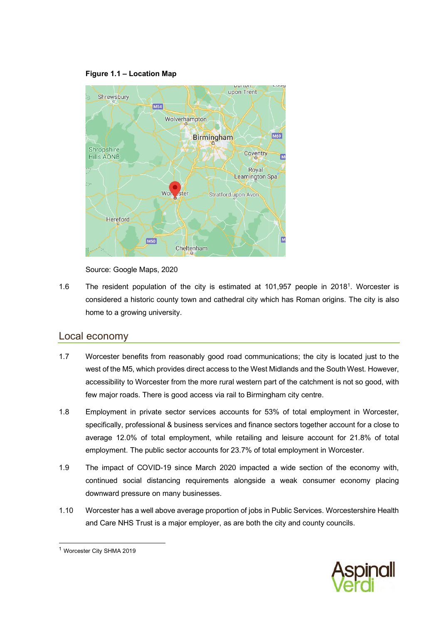#### **Figure 1.1 – Location Map**

<span id="page-5-1"></span>

Source: Google Maps, 2020

1.6 The resident population of the city is estimated at 101,957 people in 2018<sup>1</sup>. Worcester is considered a historic county town and cathedral city which has Roman origins. The city is also home to a growing university.

### <span id="page-5-0"></span>Local economy

- 1.7 Worcester benefits from reasonably good road communications; the city is located just to the west of the M5, which provides direct access to the West Midlands and the South West. However, accessibility to Worcester from the more rural western part of the catchment is not so good, with few major roads. There is good access via rail to Birmingham city centre.
- 1.8 Employment in private sector services accounts for 53% of total employment in Worcester, specifically, professional & business services and finance sectors together account for a close to average 12.0% of total employment, while retailing and leisure account for 21.8% of total employment. The public sector accounts for 23.7% of total employment in Worcester.
- 1.9 The impact of COVID-19 since March 2020 impacted a wide section of the economy with, continued social distancing requirements alongside a weak consumer economy placing downward pressure on many businesses.
- 1.10 Worcester has a well above average proportion of jobs in Public Services. Worcestershire Health and Care NHS Trust is a major employer, as are both the city and county councils.



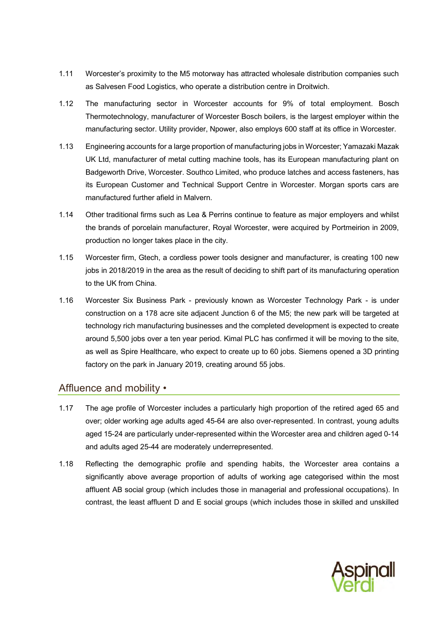- 1.11 Worcester's proximity to the M5 motorway has attracted wholesale distribution companies such as Salvesen Food Logistics, who operate a distribution centre in Droitwich.
- 1.12 The manufacturing sector in Worcester accounts for 9% of total employment. Bosch Thermotechnology, manufacturer of Worcester Bosch boilers, is the largest employer within the manufacturing sector. Utility provider, Npower, also employs 600 staff at its office in Worcester.
- 1.13 Engineering accounts for a large proportion of manufacturing jobs in Worcester; Yamazaki Mazak UK Ltd, manufacturer of metal cutting machine tools, has its European manufacturing plant on Badgeworth Drive, Worcester. Southco Limited, who produce latches and access fasteners, has its European Customer and Technical Support Centre in Worcester. Morgan sports cars are manufactured further afield in Malvern.
- 1.14 Other traditional firms such as Lea & Perrins continue to feature as major employers and whilst the brands of porcelain manufacturer, Royal Worcester, were acquired by Portmeirion in 2009, production no longer takes place in the city.
- 1.15 Worcester firm, Gtech, a cordless power tools designer and manufacturer, is creating 100 new jobs in 2018/2019 in the area as the result of deciding to shift part of its manufacturing operation to the UK from China.
- 1.16 Worcester Six Business Park previously known as Worcester Technology Park is under construction on a 178 acre site adjacent Junction 6 of the M5; the new park will be targeted at technology rich manufacturing businesses and the completed development is expected to create around 5,500 jobs over a ten year period. Kimal PLC has confirmed it will be moving to the site, as well as Spire Healthcare, who expect to create up to 60 jobs. Siemens opened a 3D printing factory on the park in January 2019, creating around 55 jobs.

## <span id="page-6-0"></span>Affluence and mobility •

- 1.17 The age profile of Worcester includes a particularly high proportion of the retired aged 65 and over; older working age adults aged 45-64 are also over-represented. In contrast, young adults aged 15-24 are particularly under-represented within the Worcester area and children aged 0-14 and adults aged 25-44 are moderately underrepresented.
- 1.18 Reflecting the demographic profile and spending habits, the Worcester area contains a significantly above average proportion of adults of working age categorised within the most affluent AB social group (which includes those in managerial and professional occupations). In contrast, the least affluent D and E social groups (which includes those in skilled and unskilled

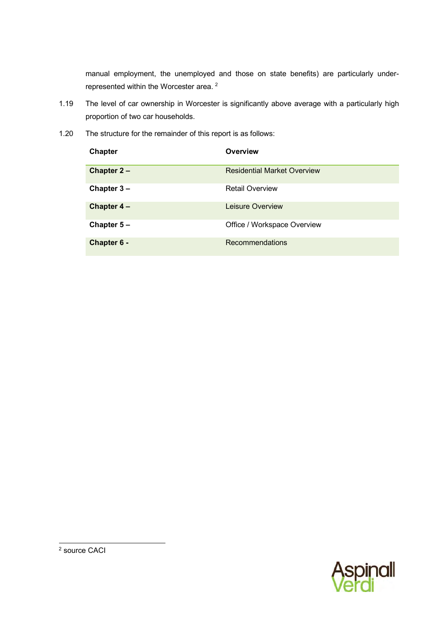manual employment, the unemployed and those on state benefits) are particularly underrepresented within the Worcester area. <sup>2</sup>

- 1.19 The level of car ownership in Worcester is significantly above average with a particularly high proportion of two car households.
- 1.20 The structure for the remainder of this report is as follows:

| Chapter       | Overview                           |
|---------------|------------------------------------|
| Chapter $2 -$ | <b>Residential Market Overview</b> |
| Chapter $3 -$ | <b>Retail Overview</b>             |
| Chapter $4-$  | Leisure Overview                   |
| Chapter $5 -$ | Office / Workspace Overview        |
| Chapter 6 -   | <b>Recommendations</b>             |

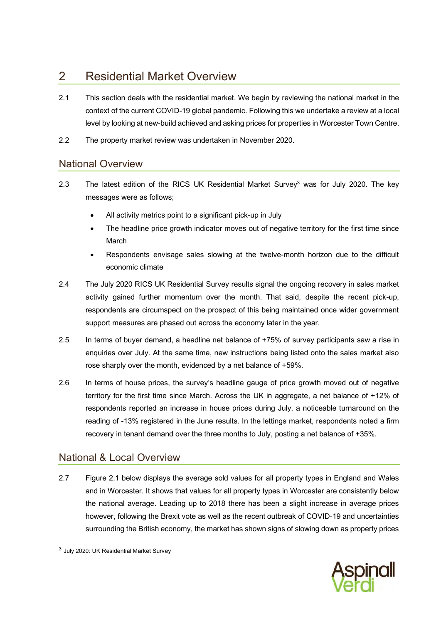# <span id="page-8-0"></span>2 Residential Market Overview

- 2.1 This section deals with the residential market. We begin by reviewing the national market in the context of the current COVID-19 global pandemic. Following this we undertake a review at a local level by looking at new-build achieved and asking prices for properties in Worcester Town Centre.
- 2.2 The property market review was undertaken in November 2020.

# <span id="page-8-1"></span>National Overview

- 2.3 The latest edition of the RICS UK Residential Market Survey<sup>3</sup> was for July 2020. The key messages were as follows;
	- All activity metrics point to a significant pick-up in July
	- The headline price growth indicator moves out of negative territory for the first time since March
	- Respondents envisage sales slowing at the twelve-month horizon due to the difficult economic climate
- 2.4 The July 2020 RICS UK Residential Survey results signal the ongoing recovery in sales market activity gained further momentum over the month. That said, despite the recent pick-up, respondents are circumspect on the prospect of this being maintained once wider government support measures are phased out across the economy later in the year.
- 2.5 In terms of buyer demand, a headline net balance of +75% of survey participants saw a rise in enquiries over July. At the same time, new instructions being listed onto the sales market also rose sharply over the month, evidenced by a net balance of +59%.
- 2.6 In terms of house prices, the survey's headline gauge of price growth moved out of negative territory for the first time since March. Across the UK in aggregate, a net balance of +12% of respondents reported an increase in house prices during July, a noticeable turnaround on the reading of -13% registered in the June results. In the lettings market, respondents noted a firm recovery in tenant demand over the three months to July, posting a net balance of +35%.

# <span id="page-8-2"></span>National & Local Overview

2.7 Figure 2.1 below displays the average sold values for all property types in England and Wales and in Worcester. It shows that values for all property types in Worcester are consistently below the national average. Leading up to 2018 there has been a slight increase in average prices however, following the Brexit vote as well as the recent outbreak of COVID-19 and uncertainties surrounding the British economy, the market has shown signs of slowing down as property prices



 $^3$  July 2020: UK Residential Market Survey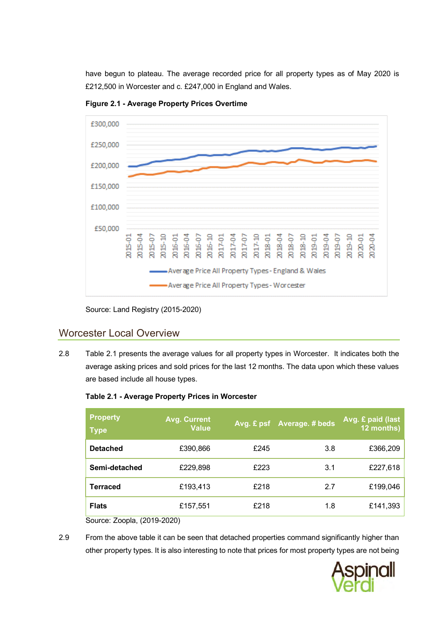have begun to plateau. The average recorded price for all property types as of May 2020 is £212,500 in Worcester and c. £247,000 in England and Wales.

<span id="page-9-1"></span>



Source: Land Registry (2015-2020)

## <span id="page-9-0"></span>Worcester Local Overview

2.8 [Table 2.1](#page-9-2) presents the average values for all property types in Worcester. It indicates both the average asking prices and sold prices for the last 12 months. The data upon which these values are based include all house types.

<span id="page-9-2"></span>

| Table 2.1 - Average Property Prices in Worcester |  |  |  |  |
|--------------------------------------------------|--|--|--|--|
|--------------------------------------------------|--|--|--|--|

| <b>Property</b><br><b>Type</b> | <b>Avg. Current</b><br><b>Value</b> |      | Avg. £ psf Average. # beds | Avg. £ paid (last<br>12 months) |
|--------------------------------|-------------------------------------|------|----------------------------|---------------------------------|
| <b>Detached</b>                | £390,866                            | £245 | 3.8                        | £366,209                        |
| Semi-detached                  | £229,898                            | £223 | 3.1                        | £227,618                        |
| <b>Terraced</b>                | £193,413                            | £218 | 2.7                        | £199,046                        |
| <b>Flats</b>                   | £157,551                            | £218 | 1.8                        | £141,393                        |

Source: Zoopla, (2019-2020)

2.9 From the above table it can be seen that detached properties command significantly higher than other property types. It is also interesting to note that prices for most property types are not being

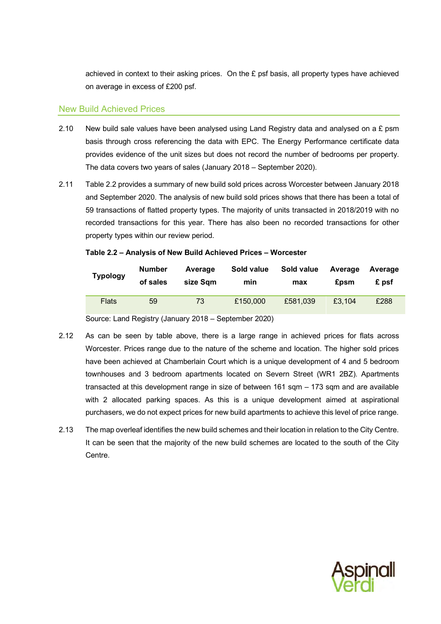achieved in context to their asking prices. On the  $E$  psf basis, all property types have achieved on average in excess of £200 psf.

#### New Build Achieved Prices

- 2.10 New build sale values have been analysed using Land Registry data and analysed on a £ psm basis through cross referencing the data with EPC. The Energy Performance certificate data provides evidence of the unit sizes but does not record the number of bedrooms per property. The data covers two years of sales (January 2018 – September 2020).
- 2.11 [Table 2.2](#page-10-0) provides a summary of new build sold prices across Worcester between January 2018 and September 2020. The analysis of new build sold prices shows that there has been a total of 59 transactions of flatted property types. The majority of units transacted in 2018/2019 with no recorded transactions for this year. There has also been no recorded transactions for other property types within our review period.

| <b>Typology</b> | <b>Number</b> | Average  | Sold value | Sold value | Average     | Average |
|-----------------|---------------|----------|------------|------------|-------------|---------|
|                 | of sales      | size Sam | min        | max        | <b>£psm</b> | £ psf   |
| <b>Flats</b>    | 59            | 73       | £150,000   | £581,039   | £3,104      | £288    |

#### <span id="page-10-0"></span>**Table 2.2 – Analysis of New Build Achieved Prices – Worcester**

Source: Land Registry (January 2018 – September 2020)

- 2.12 As can be seen by table above, there is a large range in achieved prices for flats across Worcester. Prices range due to the nature of the scheme and location. The higher sold prices have been achieved at Chamberlain Court which is a unique development of 4 and 5 bedroom townhouses and 3 bedroom apartments located on Severn Street (WR1 2BZ). Apartments transacted at this development range in size of between  $161$  sqm  $-173$  sqm and are available with 2 allocated parking spaces. As this is a unique development aimed at aspirational purchasers, we do not expect prices for new build apartments to achieve this level of price range.
- 2.13 The map overleaf identifies the new build schemes and their location in relation to the City Centre. It can be seen that the majority of the new build schemes are located to the south of the City Centre.

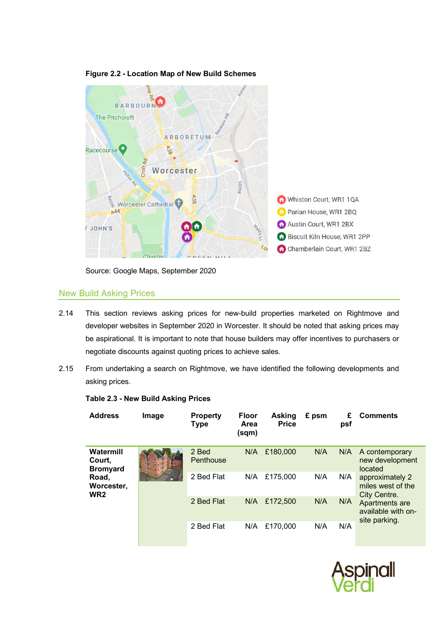<span id="page-11-0"></span>

**Figure 2.2 - Location Map of New Build Schemes**

Source: Google Maps, September 2020

### New Build Asking Prices

- 2.14 This section reviews asking prices for new-build properties marketed on Rightmove and developer websites in September 2020 in Worcester. It should be noted that asking prices may be aspirational. It is important to note that house builders may offer incentives to purchasers or negotiate discounts against quoting prices to achieve sales.
- 2.15 From undertaking a search on Rightmove, we have identified the following developments and asking prices.

| <b>Address</b>                         | Image | <b>Property</b><br>Type | <b>Floor</b><br>Area<br>(sqm) | <b>Asking</b><br><b>Price</b> | £ psm | £<br>psf | <b>Comments</b>                                       |
|----------------------------------------|-------|-------------------------|-------------------------------|-------------------------------|-------|----------|-------------------------------------------------------|
| Watermill<br>Court.<br><b>Bromyard</b> |       | 2 Bed<br>Penthouse      | N/A                           | £180,000                      | N/A   | N/A      | A contemporary<br>new development<br>located          |
| Road,<br>Worcester,<br>WR2             |       | 2 Bed Flat              | N/A                           | £175,000                      | N/A   | N/A      | approximately 2<br>miles west of the<br>City Centre.  |
|                                        |       | 2 Bed Flat              | N/A                           | £172,500                      | N/A   | N/A      | Apartments are<br>available with on-<br>site parking. |
|                                        |       | 2 Bed Flat              | N/A                           | £170,000                      | N/A   | N/A      |                                                       |

#### <span id="page-11-1"></span>**Table 2.3 - New Build Asking Prices**

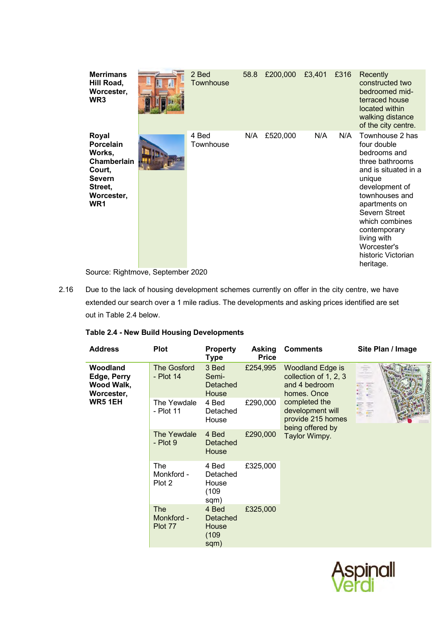| <b>Merrimans</b><br>Hill Road,<br>Worcester,<br>WR <sub>3</sub>                                                           | 2 Bed<br>Townhouse | 58.8 | £200,000 | £3,401 | £316 | Recently<br>constructed two<br>bedroomed mid-<br>terraced house<br>located within<br>walking distance<br>of the city centre.                                                                                                                                                 |
|---------------------------------------------------------------------------------------------------------------------------|--------------------|------|----------|--------|------|------------------------------------------------------------------------------------------------------------------------------------------------------------------------------------------------------------------------------------------------------------------------------|
| Royal<br><b>Porcelain</b><br>Works,<br>Chamberlain<br>Court,<br><b>Severn</b><br>Street,<br>Worcester,<br>WR <sub>1</sub> | 4 Bed<br>Townhouse | N/A  | £520,000 | N/A    | N/A  | Townhouse 2 has<br>four double<br>bedrooms and<br>three bathrooms<br>and is situated in a<br>unique<br>development of<br>townhouses and<br>apartments on<br>Severn Street<br>which combines<br>contemporary<br>living with<br>Worcester's<br>historic Victorian<br>heritage. |

Source: Rightmove, September 2020

2.16 Due to the lack of housing development schemes currently on offer in the city centre, we have extended our search over a 1 mile radius. The developments and asking prices identified are set out i[n Table 2.4](#page-12-0) below.

### <span id="page-12-0"></span>**Table 2.4 - New Build Housing Developments**

| <b>Address</b>                                      | <b>Plot</b>                         | <b>Property</b><br>Type                     | <b>Asking</b><br><b>Price</b> | <b>Comments</b>                                                                                                                                                                 | Site Plan / Image |  |                         |
|-----------------------------------------------------|-------------------------------------|---------------------------------------------|-------------------------------|---------------------------------------------------------------------------------------------------------------------------------------------------------------------------------|-------------------|--|-------------------------|
| Woodland<br>Edge, Perry<br>Wood Walk,<br>Worcester, | <b>The Gosford</b><br>- Plot 14     | 3 Bed<br>Semi-<br>Detached<br>House         | £254,995                      | <b>Woodland Edge is</b><br>collection of 1, 2, 3<br>and 4 bedroom<br>homes. Once<br>completed the<br>development will<br>provide 215 homes<br>being offered by<br>Taylor Wimpy. |                   |  | İ<br><b>CERTIFICATE</b> |
| <b>WR5 1EH</b>                                      | The Yewdale<br>- Plot 11            | 4 Bed<br>Detached<br>House                  | £290,000                      |                                                                                                                                                                                 | <b>RE</b>         |  |                         |
|                                                     | The Yewdale<br>$-$ Plot 9           | 4 Bed<br>Detached<br>House                  | £290,000                      |                                                                                                                                                                                 |                   |  |                         |
|                                                     | <b>The</b><br>Monkford -<br>Plot 2  | 4 Bed<br>Detached<br>House<br>(109)<br>sqm) | £325,000                      |                                                                                                                                                                                 |                   |  |                         |
|                                                     | <b>The</b><br>Monkford -<br>Plot 77 | 4 Bed<br>Detached<br>House<br>(109)<br>sqm) | £325,000                      |                                                                                                                                                                                 |                   |  |                         |

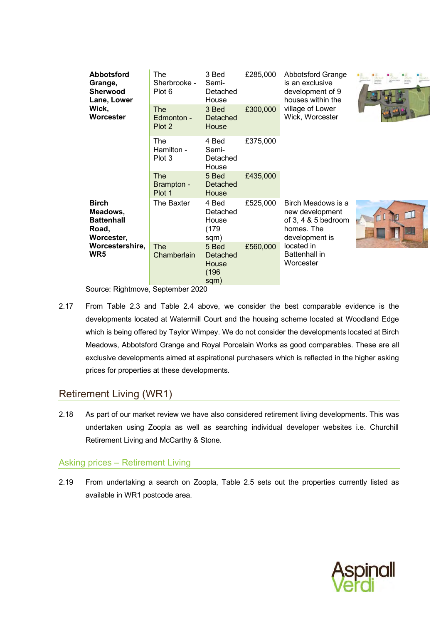| <b>Abbotsford</b><br>Grange,<br><b>Sherwood</b><br>Lane, Lower<br>Wick, | The<br>Sherbrooke -<br>Plot 6<br><b>The</b> | 3 Bed<br>Semi-<br>Detached<br>House<br>3 Bed | £285,000<br>£300,000 | <b>Abbotsford Grange</b><br>is an exclusive<br>development of 9<br>houses within the<br>village of Lower |                           |
|-------------------------------------------------------------------------|---------------------------------------------|----------------------------------------------|----------------------|----------------------------------------------------------------------------------------------------------|---------------------------|
| Worcester                                                               | Edmonton -<br>Plot 2                        | Detached<br>House                            |                      | Wick, Worcester                                                                                          |                           |
|                                                                         | The<br>Hamilton -<br>Plot 3                 | 4 Bed<br>Semi-<br>Detached<br>House          | £375,000             |                                                                                                          |                           |
|                                                                         | <b>The</b><br>Brampton -<br>Plot 1          | 5 Bed<br>Detached<br>House                   | £435,000             |                                                                                                          |                           |
| <b>Birch</b><br>Meadows,<br><b>Battenhall</b><br>Road,<br>Worcester,    | The Baxter                                  | 4 Bed<br>Detached<br>House<br>(179)<br>sqm)  | £525,000             | Birch Meadows is a<br>new development<br>of $3, 4$ & $5$ bedroom<br>homes. The<br>development is         | $\mathbb{L}^{\mathbb{L}}$ |
| Worcestershire,<br>WR5                                                  | <b>The</b><br>Chamberlain                   | 5 Bed<br>Detached<br>House<br>(196)<br>sqm)  | £560,000             | located in<br><b>Battenhall in</b><br>Worcester                                                          |                           |

Source: Rightmove, September 2020

2.17 From [Table 2.3](#page-11-1) and [Table 2.4](#page-12-0) above, we consider the best comparable evidence is the developments located at Watermill Court and the housing scheme located at Woodland Edge which is being offered by Taylor Wimpey. We do not consider the developments located at Birch Meadows, Abbotsford Grange and Royal Porcelain Works as good comparables. These are all exclusive developments aimed at aspirational purchasers which is reflected in the higher asking prices for properties at these developments.

# Retirement Living (WR1)

2.18 As part of our market review we have also considered retirement living developments. This was undertaken using Zoopla as well as searching individual developer websites i.e. Churchill Retirement Living and McCarthy & Stone.

# Asking prices – Retirement Living

2.19 From undertaking a search on Zoopla, [Table 2.5](#page-14-0) sets out the properties currently listed as available in WR1 postcode area.

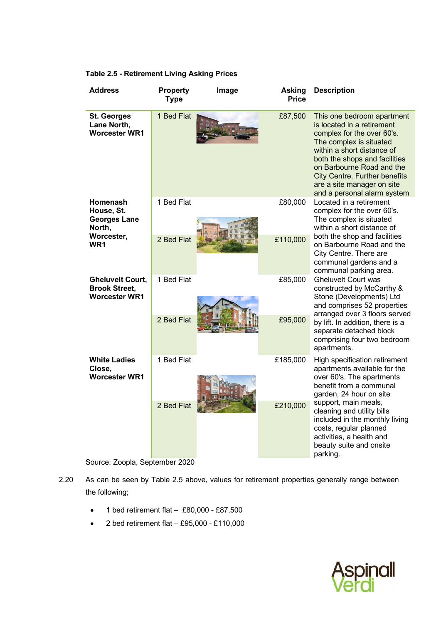| <b>Address</b>                                                          | <b>Property</b><br><b>Type</b> | Image | <b>Asking</b><br><b>Price</b> | <b>Description</b>                                                                                                                                                                                                                                                                                                 |  |  |
|-------------------------------------------------------------------------|--------------------------------|-------|-------------------------------|--------------------------------------------------------------------------------------------------------------------------------------------------------------------------------------------------------------------------------------------------------------------------------------------------------------------|--|--|
| <b>St. Georges</b><br>Lane North,<br><b>Worcester WR1</b>               | 1 Bed Flat                     |       | £87,500                       | This one bedroom apartment<br>is located in a retirement<br>complex for the over 60's.<br>The complex is situated<br>within a short distance of<br>both the shops and facilities<br>on Barbourne Road and the<br><b>City Centre. Further benefits</b><br>are a site manager on site<br>and a personal alarm system |  |  |
| <b>Homenash</b><br>House, St.<br><b>Georges Lane</b><br>North,          | 1 Bed Flat                     |       | £80,000                       | Located in a retirement<br>complex for the over 60's.<br>The complex is situated<br>within a short distance of                                                                                                                                                                                                     |  |  |
| Worcester,<br>WR <sub>1</sub>                                           | 2 Bed Flat                     |       | £110,000                      | both the shop and facilities<br>on Barbourne Road and the<br>City Centre. There are<br>communal gardens and a<br>communal parking area.                                                                                                                                                                            |  |  |
| <b>Gheluvelt Court,</b><br><b>Brook Street.</b><br><b>Worcester WR1</b> | 1 Bed Flat                     |       | £85,000                       | <b>Gheluvelt Court was</b><br>constructed by McCarthy &<br>Stone (Developments) Ltd<br>and comprises 52 properties                                                                                                                                                                                                 |  |  |
|                                                                         | 2 Bed Flat                     |       | £95,000                       | arranged over 3 floors served<br>by lift. In addition, there is a<br>separate detached block<br>comprising four two bedroom<br>apartments.                                                                                                                                                                         |  |  |
| <b>White Ladies</b><br>Close,<br><b>Worcester WR1</b>                   | 1 Bed Flat                     |       | £185,000                      | High specification retirement<br>apartments available for the<br>over 60's. The apartments<br>benefit from a communal<br>garden, 24 hour on site                                                                                                                                                                   |  |  |
|                                                                         | 2 Bed Flat                     |       | £210,000                      | support, main meals,<br>cleaning and utility bills<br>included in the monthly living<br>costs, regular planned<br>activities, a health and<br>beauty suite and onsite<br>parking.                                                                                                                                  |  |  |

#### <span id="page-14-0"></span>**Table 2.5 - Retirement Living Asking Prices**



- 2.20 As can be seen by [Table 2.5](#page-14-0) above, values for retirement properties generally range between the following;
	- $\bullet$  1 bed retirement flat £80,000 £87,500
	- 2 bed retirement flat £95,000 £110,000

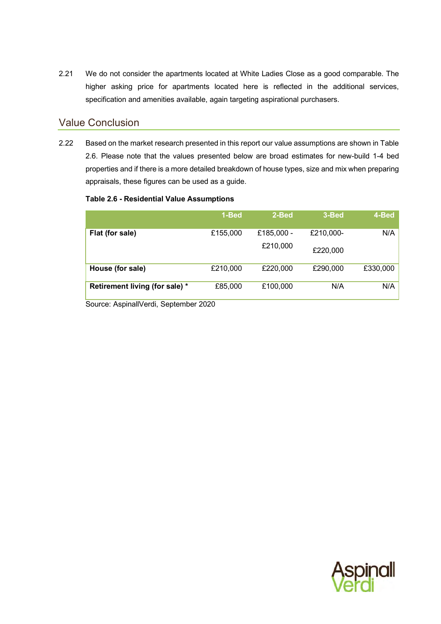2.21 We do not consider the apartments located at White Ladies Close as a good comparable. The higher asking price for apartments located here is reflected in the additional services, specification and amenities available, again targeting aspirational purchasers.

## <span id="page-15-0"></span>Value Conclusion

2.22 Based on the market research presented in this report our value assumptions are shown in [Table](#page-15-1)  [2.6.](#page-15-1) Please note that the values presented below are broad estimates for new-build 1-4 bed properties and if there is a more detailed breakdown of house types, size and mix when preparing appraisals, these figures can be used as a guide.

#### <span id="page-15-1"></span>**Table 2.6 - Residential Value Assumptions**

|                                | 1-Bed    | 2-Bed      | 3-Bed     | 4-Bed    |
|--------------------------------|----------|------------|-----------|----------|
| Flat (for sale)                | £155,000 | £185,000 - | £210,000- | N/A      |
|                                |          | £210,000   | £220,000  |          |
| House (for sale)               | £210,000 | £220,000   | £290,000  | £330,000 |
| Retirement living (for sale) * | £85,000  | £100,000   | N/A       | N/A      |

Source: AspinallVerdi, September 2020

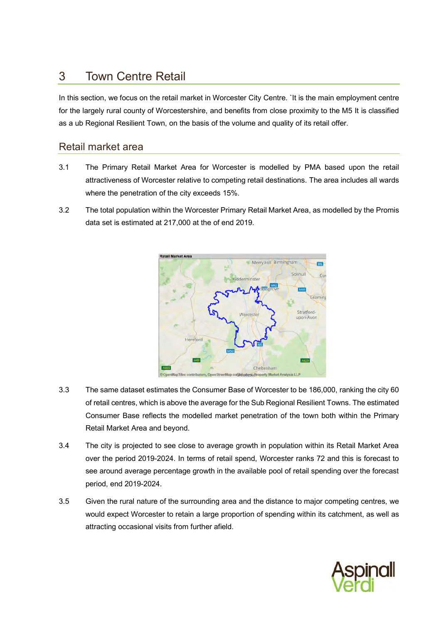# <span id="page-16-0"></span>3 Town Centre Retail

In this section, we focus on the retail market in Worcester City Centre. `It is the main employment centre for the largely rural county of Worcestershire, and benefits from close proximity to the M5 It is classified as a ub Regional Resilient Town, on the basis of the volume and quality of its retail offer.

# <span id="page-16-1"></span>Retail market area

- 3.1 The Primary Retail Market Area for Worcester is modelled by PMA based upon the retail attractiveness of Worcester relative to competing retail destinations. The area includes all wards where the penetration of the city exceeds 15%.
- 3.2 The total population within the Worcester Primary Retail Market Area, as modelled by the Promis data set is estimated at 217,000 at the of end 2019.



- 3.3 The same dataset estimates the Consumer Base of Worcester to be 186,000, ranking the city 60 of retail centres, which is above the average for the Sub Regional Resilient Towns. The estimated Consumer Base reflects the modelled market penetration of the town both within the Primary Retail Market Area and beyond.
- 3.4 The city is projected to see close to average growth in population within its Retail Market Area over the period 2019-2024. In terms of retail spend, Worcester ranks 72 and this is forecast to see around average percentage growth in the available pool of retail spending over the forecast period, end 2019-2024.
- 3.5 Given the rural nature of the surrounding area and the distance to major competing centres, we would expect Worcester to retain a large proportion of spending within its catchment, as well as attracting occasional visits from further afield.

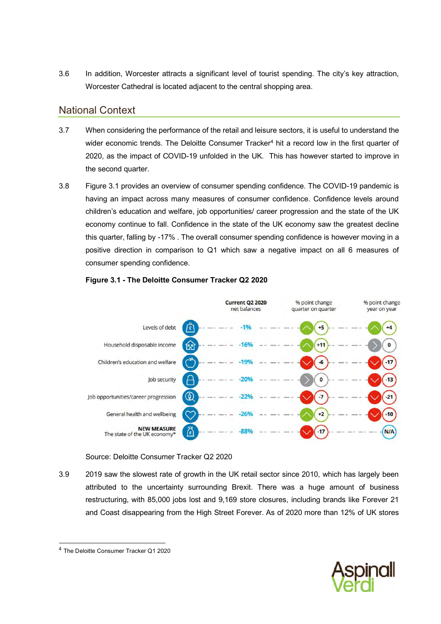3.6 In addition, Worcester attracts a significant level of tourist spending. The city's key attraction, Worcester Cathedral is located adjacent to the central shopping area.

# National Context

- 3.7 When considering the performance of the retail and leisure sectors, it is useful to understand the wider economic trends. The Deloitte Consumer Tracker<sup>4</sup> hit a record low in the first quarter of 2020, as the impact of COVID-19 unfolded in the UK. This has however started to improve in the second quarter.
- 3.8 [Figure 3.1](#page-17-0) provides an overview of consumer spending confidence. The COVID-19 pandemic is having an impact across many measures of consumer confidence. Confidence levels around children's education and welfare, job opportunities/ career progression and the state of the UK economy continue to fall. Confidence in the state of the UK economy saw the greatest decline this quarter, falling by -17% . The overall consumer spending confidence is however moving in a positive direction in comparison to Q1 which saw a negative impact on all 6 measures of consumer spending confidence.

<span id="page-17-0"></span>

#### **Figure 3.1 - The Deloitte Consumer Tracker Q2 2020**

#### Source: Deloitte Consumer Tracker Q2 2020

3.9 2019 saw the slowest rate of growth in the UK retail sector since 2010, which has largely been attributed to the uncertainty surrounding Brexit. There was a huge amount of business restructuring, with 85,000 jobs lost and 9,169 store closures, including brands like Forever 21 and Coast disappearing from the High Street Forever. As of 2020 more than 12% of UK stores



<sup>4</sup> The Deloitte Consumer Tracker Q1 2020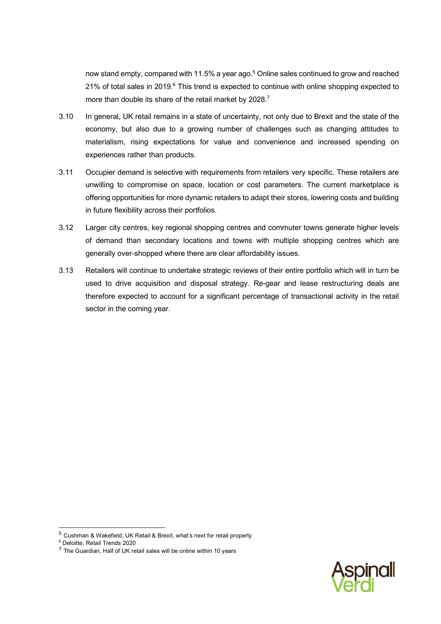now stand empty, compared with 11.5% a year ago.<sup>5</sup> Online sales continued to grow and reached 21% of total sales in 2019.<sup>6</sup> This trend is expected to continue with online shopping expected to more than double its share of the retail market by 2028.<sup>7</sup>

- 3.10 In general, UK retail remains in a state of uncertainty, not only due to Brexit and the state of the economy, but also due to a growing number of challenges such as changing attitudes to materialism, rising expectations for value and convenience and increased spending on experiences rather than products.
- 3.11 Occupier demand is selective with requirements from retailers very specific. These retailers are unwilling to compromise on space, location or cost parameters. The current marketplace is offering opportunities for more dynamic retailers to adapt their stores, lowering costs and building in future flexibility across their portfolios.
- 3.12 Larger city centres, key regional shopping centres and commuter towns generate higher levels of demand than secondary locations and towns with multiple shopping centres which are generally over-shopped where there are clear affordability issues.
- 3.13 Retailers will continue to undertake strategic reviews of their entire portfolio which will in turn be used to drive acquisition and disposal strategy. Re-gear and lease restructuring deals are therefore expected to account for a significant percentage of transactional activity in the retail sector in the coming year.



<sup>5</sup> Cushman & Wakefield, UK Retail & Brexit, what's next for retail property

<sup>6</sup> Deloitte, Retail Trends 2020

 $7$  The Guardian, Half of UK retail sales will be online within 10 years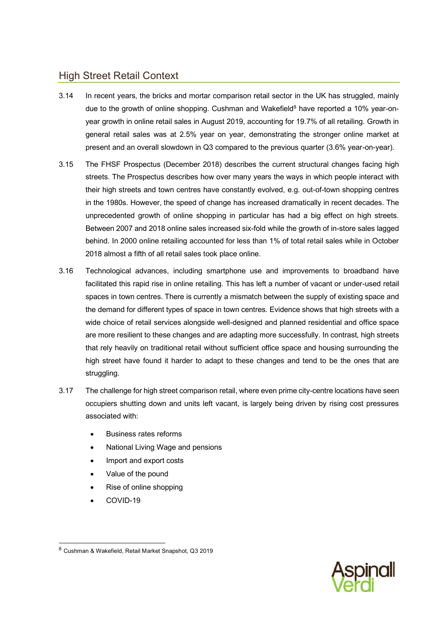# <span id="page-19-0"></span>High Street Retail Context

- 3.14 In recent years, the bricks and mortar comparison retail sector in the UK has struggled, mainly due to the growth of online shopping. Cushman and Wakefield $8$  have reported a 10% year-onyear growth in online retail sales in August 2019, accounting for 19.7% of all retailing. Growth in general retail sales was at 2.5% year on year, demonstrating the stronger online market at present and an overall slowdown in Q3 compared to the previous quarter (3.6% year-on-year).
- 3.15 The FHSF Prospectus (December 2018) describes the current structural changes facing high streets. The Prospectus describes how over many years the ways in which people interact with their high streets and town centres have constantly evolved, e.g. out-of-town shopping centres in the 1980s. However, the speed of change has increased dramatically in recent decades. The unprecedented growth of online shopping in particular has had a big effect on high streets. Between 2007 and 2018 online sales increased six-fold while the growth of in-store sales lagged behind. In 2000 online retailing accounted for less than 1% of total retail sales while in October 2018 almost a fifth of all retail sales took place online.
- 3.16 Technological advances, including smartphone use and improvements to broadband have facilitated this rapid rise in online retailing. This has left a number of vacant or under-used retail spaces in town centres. There is currently a mismatch between the supply of existing space and the demand for different types of space in town centres. Evidence shows that high streets with a wide choice of retail services alongside well-designed and planned residential and office space are more resilient to these changes and are adapting more successfully. In contrast, high streets that rely heavily on traditional retail without sufficient office space and housing surrounding the high street have found it harder to adapt to these changes and tend to be the ones that are struggling.
- 3.17 The challenge for high street comparison retail, where even prime city-centre locations have seen occupiers shutting down and units left vacant, is largely being driven by rising cost pressures associated with:
	- Business rates reforms
	- National Living Wage and pensions
	- Import and export costs
	- Value of the pound
	- Rise of online shopping
	- COVID-19



<sup>8</sup> Cushman & Wakefield, Retail Market Snapshot, Q3 2019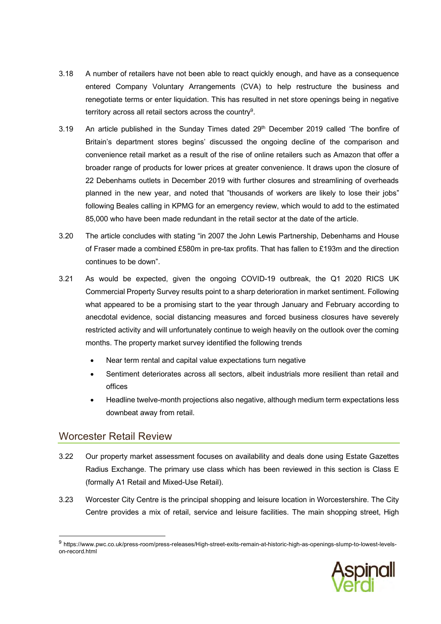- 3.18 A number of retailers have not been able to react quickly enough, and have as a consequence entered Company Voluntary Arrangements (CVA) to help restructure the business and renegotiate terms or enter liquidation. This has resulted in net store openings being in negative territory across all retail sectors across the country $^9$ .
- 3.19 An article published in the Sunday Times dated 29<sup>th</sup> December 2019 called 'The bonfire of Britain's department stores begins' discussed the ongoing decline of the comparison and convenience retail market as a result of the rise of online retailers such as Amazon that offer a broader range of products for lower prices at greater convenience. It draws upon the closure of 22 Debenhams outlets in December 2019 with further closures and streamlining of overheads planned in the new year, and noted that "thousands of workers are likely to lose their jobs" following Beales calling in KPMG for an emergency review, which would to add to the estimated 85,000 who have been made redundant in the retail sector at the date of the article.
- 3.20 The article concludes with stating "in 2007 the John Lewis Partnership, Debenhams and House of Fraser made a combined £580m in pre-tax profits. That has fallen to £193m and the direction continues to be down".
- 3.21 As would be expected, given the ongoing COVID-19 outbreak, the Q1 2020 RICS UK Commercial Property Survey results point to a sharp deterioration in market sentiment. Following what appeared to be a promising start to the year through January and February according to anecdotal evidence, social distancing measures and forced business closures have severely restricted activity and will unfortunately continue to weigh heavily on the outlook over the coming months. The property market survey identified the following trends
	- Near term rental and capital value expectations turn negative
	- Sentiment deteriorates across all sectors, albeit industrials more resilient than retail and offices
	- Headline twelve-month projections also negative, although medium term expectations less downbeat away from retail.

# <span id="page-20-0"></span>Worcester Retail Review

- 3.22 Our property market assessment focuses on availability and deals done using Estate Gazettes Radius Exchange. The primary use class which has been reviewed in this section is Class E (formally A1 Retail and Mixed-Use Retail).
- 3.23 Worcester City Centre is the principal shopping and leisure location in Worcestershire. The City Centre provides a mix of retail, service and leisure facilities. The main shopping street, High

<sup>&</sup>lt;sup>9</sup> https://www.pwc.co.uk/press-room/press-releases/High-street-exits-remain-at-historic-high-as-openings-slump-to-lowest-levelson-record.html

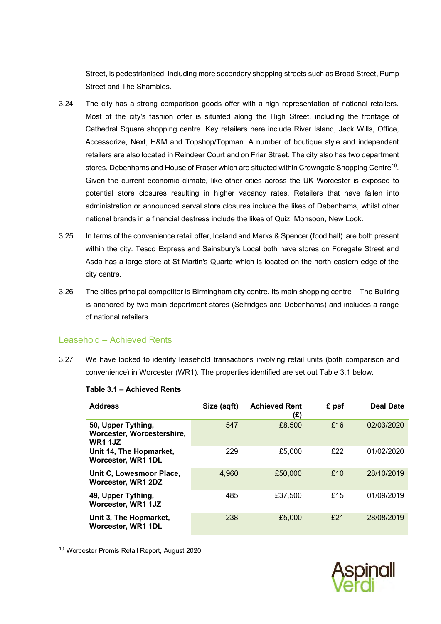Street, is pedestrianised, including more secondary shopping streets such as Broad Street, Pump Street and The Shambles.

- 3.24 The city has a strong comparison goods offer with a high representation of national retailers. Most of the city's fashion offer is situated along the High Street, including the frontage of Cathedral Square shopping centre. Key retailers here include River Island, Jack Wills, Office, Accessorize, Next, H&M and Topshop/Topman. A number of boutique style and independent retailers are also located in Reindeer Court and on Friar Street. The city also has two department stores, Debenhams and House of Fraser which are situated within Crowngate Shopping Centre $^{\mathsf{10}}$ . Given the current economic climate, like other cities across the UK Worcester is exposed to potential store closures resulting in higher vacancy rates. Retailers that have fallen into administration or announced serval store closures include the likes of Debenhams, whilst other national brands in a financial destress include the likes of Quiz, Monsoon, New Look.
- 3.25 In terms of the convenience retail offer, Iceland and Marks & Spencer (food hall) are both present within the city. Tesco Express and Sainsbury's Local both have stores on Foregate Street and Asda has a large store at St Martin's Quarte which is located on the north eastern edge of the city centre.
- 3.26 The cities principal competitor is Birmingham city centre. Its main shopping centre The Bullring is anchored by two main department stores (Selfridges and Debenhams) and includes a range of national retailers.

### Leasehold – Achieved Rents

3.27 We have looked to identify leasehold transactions involving retail units (both comparison and convenience) in Worcester (WR1). The properties identified are set out [Table 3.1](#page-21-0) below.

| <b>Address</b>                                                     | Size (sqft) | <b>Achieved Rent</b><br>(£) | £ psf | <b>Deal Date</b> |
|--------------------------------------------------------------------|-------------|-----------------------------|-------|------------------|
| 50, Upper Tything,<br>Worcester, Worcestershire,<br><b>WR1 1JZ</b> | 547         | £8,500                      | £16   | 02/03/2020       |
| Unit 14, The Hopmarket,<br>Worcester, WR1 1DL                      | 229         | £5,000                      | £22   | 01/02/2020       |
| Unit C, Lowesmoor Place,<br>Worcester, WR1 2DZ                     | 4,960       | £50,000                     | £10   | 28/10/2019       |
| 49, Upper Tything,<br>Worcester, WR1 1JZ                           | 485         | £37,500                     | £15   | 01/09/2019       |
| Unit 3, The Hopmarket,<br>Worcester, WR1 1DL                       | 238         | £5,000                      | f21   | 28/08/2019       |

#### <span id="page-21-0"></span>**Table 3.1 – Achieved Rents**

<sup>10</sup> Worcester Promis Retail Report, August 2020

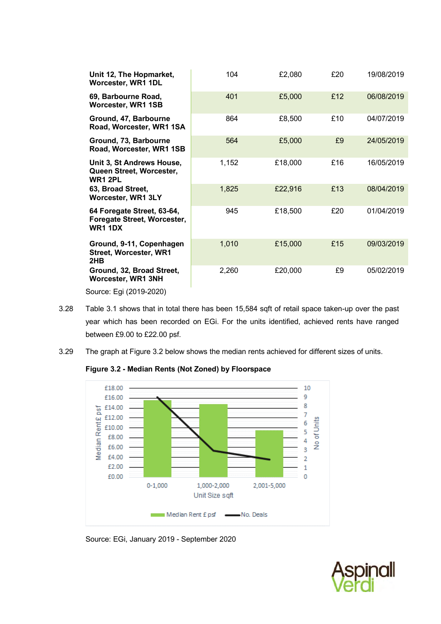| Unit 12, The Hopmarket,<br>Worcester, WR1 1DL                                     | 104   | £2,080  | £20 | 19/08/2019 |
|-----------------------------------------------------------------------------------|-------|---------|-----|------------|
| 69, Barbourne Road,<br>Worcester, WR1 1SB                                         | 401   | £5,000  | £12 | 06/08/2019 |
| Ground, 47, Barbourne<br>Road, Worcester, WR1 1SA                                 | 864   | £8,500  | £10 | 04/07/2019 |
| Ground, 73, Barbourne<br>Road, Worcester, WR1 1SB                                 | 564   | £5,000  | £9  | 24/05/2019 |
| Unit 3, St Andrews House,<br>Queen Street, Worcester,<br><b>WR1 2PL</b>           | 1,152 | £18,000 | £16 | 16/05/2019 |
| 63, Broad Street,<br><b>Worcester, WR1 3LY</b>                                    | 1,825 | £22,916 | £13 | 08/04/2019 |
| 64 Foregate Street, 63-64,<br>Foregate Street, Worcester,<br><b>WR1 1DX</b>       | 945   | £18,500 | £20 | 01/04/2019 |
| Ground, 9-11, Copenhagen<br><b>Street, Worcester, WR1</b><br>2HB                  | 1,010 | £15,000 | £15 | 09/03/2019 |
| Ground, 32, Broad Street,<br>Worcester, WR1 3NH                                   | 2,260 | £20,000 | £9  | 05/02/2019 |
| $\text{Cov}(\mathcal{L}^{\text{c}}) \subset \mathcal{L}^{\text{c}}$ (2010) 2010). |       |         |     |            |

Source: Egi (2019-2020)

- 3.28 [Table 3.1](#page-21-0) shows that in total there has been 15,584 sqft of retail space taken-up over the past year which has been recorded on EGi. For the units identified, achieved rents have ranged between £9.00 to £22.00 psf.
- <span id="page-22-0"></span>3.29 The graph at [Figure 3.2](#page-22-0) below shows the median rents achieved for different sizes of units.

**Figure 3.2 - Median Rents (Not Zoned) by Floorspace**



Source: EGi, January 2019 - September 2020

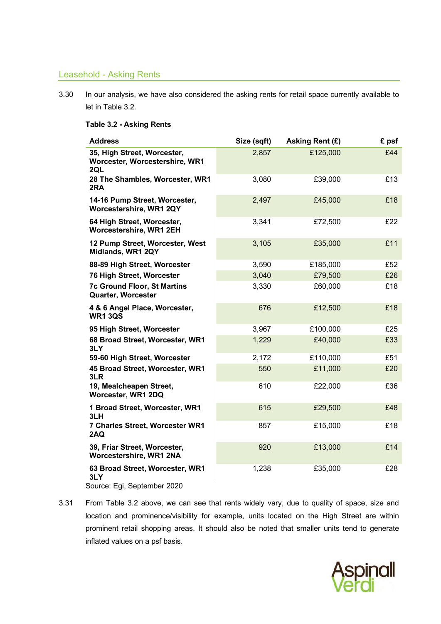### Leasehold - Asking Rents

3.30 In our analysis, we have also considered the asking rents for retail space currently available to let in [Table 3.2.](#page-23-0)

#### <span id="page-23-0"></span>**Table 3.2 - Asking Rents**

| <b>Address</b>                                                        | Size (sqft) | Asking Rent (£) | £ psf |
|-----------------------------------------------------------------------|-------------|-----------------|-------|
| 35, High Street, Worcester,<br>Worcester, Worcestershire, WR1<br>2QL  | 2,857       | £125,000        | £44   |
| 28 The Shambles, Worcester, WR1<br>2RA                                | 3,080       | £39,000         | £13   |
| 14-16 Pump Street, Worcester,<br>Worcestershire, WR1 2QY              | 2,497       | £45,000         | £18   |
| 64 High Street, Worcester,<br>Worcestershire, WR1 2EH                 | 3,341       | £72,500         | £22   |
| 12 Pump Street, Worcester, West<br>Midlands, WR1 2QY                  | 3,105       | £35,000         | £11   |
| 88-89 High Street, Worcester                                          | 3,590       | £185,000        | £52   |
| 76 High Street, Worcester                                             | 3,040       | £79,500         | £26   |
| <b>7c Ground Floor, St Martins</b><br>Quarter, Worcester              | 3,330       | £60,000         | £18   |
| 4 & 6 Angel Place, Worcester,<br><b>WR1 3QS</b>                       | 676         | £12,500         | £18   |
| 95 High Street, Worcester                                             | 3,967       | £100,000        | £25   |
| 68 Broad Street, Worcester, WR1<br>3LY                                | 1,229       | £40,000         | £33   |
| 59-60 High Street, Worcester                                          | 2,172       | £110,000        | £51   |
| 45 Broad Street, Worcester, WR1<br>3LR                                | 550         | £11,000         | £20   |
| 19, Mealcheapen Street,<br>Worcester, WR1 2DQ                         | 610         | £22,000         | £36   |
| 1 Broad Street, Worcester, WR1<br>3LH                                 | 615         | £29,500         | £48   |
| 7 Charles Street, Worcester WR1<br>2AQ                                | 857         | £15,000         | £18   |
| 39, Friar Street, Worcester,<br>Worcestershire, WR1 2NA               | 920         | £13,000         | £14   |
| 63 Broad Street, Worcester, WR1<br>3LY<br>Source: Egi, September 2020 | 1,238       | £35,000         | £28   |

3.31 From Table 3.2 above, we can see that rents widely vary, due to quality of space, size and location and prominence/visibility for example, units located on the High Street are within prominent retail shopping areas. It should also be noted that smaller units tend to generate inflated values on a psf basis.

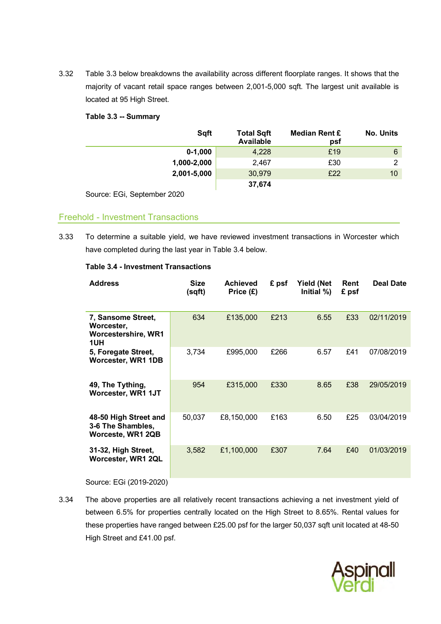3.32 Table 3.3 below breakdowns the availability across different floorplate ranges. It shows that the majority of vacant retail space ranges between 2,001-5,000 sqft. The largest unit available is located at 95 High Street.

#### <span id="page-24-0"></span>**Table 3.3 -- Summary**

| Sqft        | <b>Total Sqft</b><br><b>Available</b> | Median Rent £<br>psf | <b>No. Units</b> |
|-------------|---------------------------------------|----------------------|------------------|
| $0-1,000$   | 4,228                                 | £19                  | 6                |
| 1,000-2,000 | 2,467                                 | £30                  | ົ                |
| 2,001-5,000 | 30,979                                | £22                  | 10               |
|             | 37,674                                |                      |                  |

Source: EGi, September 2020

## Freehold - Investment Transactions

3.33 To determine a suitable yield, we have reviewed investment transactions in Worcester which have completed during the last year in [Table 3.4](#page-24-1) below.

| <b>Address</b>                                                        | <b>Size</b><br>(sqft) | <b>Achieved</b><br>Price (£) | £ psf | <b>Yield (Net</b><br>Initial %) | Rent<br>£ psf | <b>Deal Date</b> |
|-----------------------------------------------------------------------|-----------------------|------------------------------|-------|---------------------------------|---------------|------------------|
| 7, Sansome Street,<br>Worcester,<br><b>Worcestershire, WR1</b><br>1UH | 634                   | £135,000                     | £213  | 6.55                            | £33           | 02/11/2019       |
| 5, Foregate Street,<br>Worcester, WR1 1DB                             | 3,734                 | £995,000                     | £266  | 6.57                            | £41           | 07/08/2019       |
| 49, The Tything,<br>Worcester, WR1 1JT                                | 954                   | £315,000                     | £330  | 8.65                            | £38           | 29/05/2019       |
| 48-50 High Street and<br>3-6 The Shambles,<br>Worceste, WR1 2QB       | 50,037                | £8,150,000                   | £163  | 6.50                            | £25           | 03/04/2019       |
| 31-32, High Street,<br>Worcester, WR1 2QL                             | 3,582                 | £1,100,000                   | £307  | 7.64                            | £40           | 01/03/2019       |

#### <span id="page-24-1"></span>**Table 3.4 - Investment Transactions**

Source: EGi (2019-2020)

3.34 The above properties are all relatively recent transactions achieving a net investment yield of between 6.5% for properties centrally located on the High Street to 8.65%. Rental values for these properties have ranged between £25.00 psf for the larger 50,037 sqft unit located at 48-50 High Street and £41.00 psf.

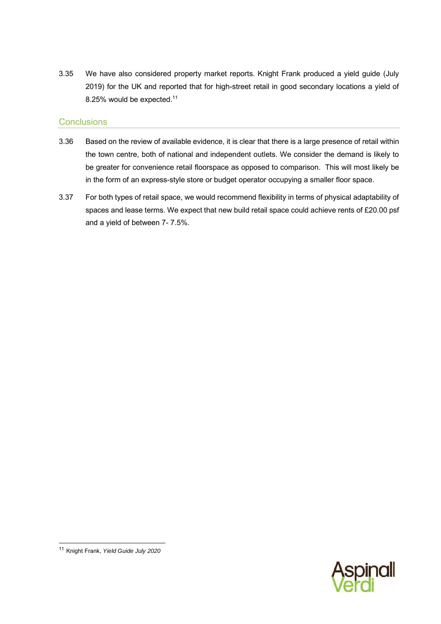3.35 We have also considered property market reports. Knight Frank produced a yield guide (July 2019) for the UK and reported that for high-street retail in good secondary locations a yield of 8.25% would be expected.<sup>11</sup>

### **Conclusions**

- 3.36 Based on the review of available evidence, it is clear that there is a large presence of retail within the town centre, both of national and independent outlets. We consider the demand is likely to be greater for convenience retail floorspace as opposed to comparison. This will most likely be in the form of an express-style store or budget operator occupying a smaller floor space.
- 3.37 For both types of retail space, we would recommend flexibility in terms of physical adaptability of spaces and lease terms. We expect that new build retail space could achieve rents of £20.00 psf and a yield of between 7- 7.5%.



<sup>11</sup> Knight Frank, *Yield Guide July 2020*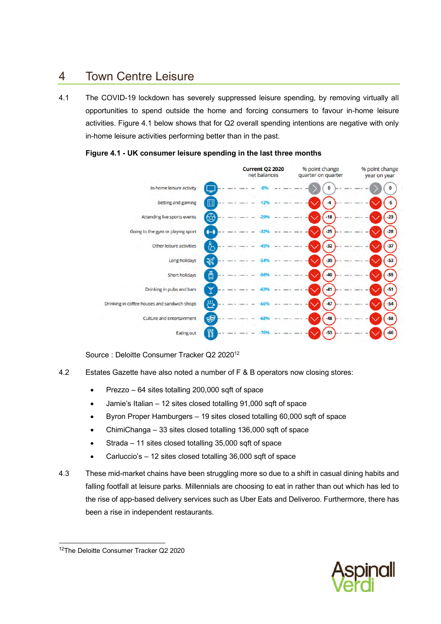# <span id="page-26-0"></span>4 Town Centre Leisure

4.1 The COVID-19 lockdown has severely suppressed leisure spending, by removing virtually all opportunities to spend outside the home and forcing consumers to favour in-home leisure activities. Figure 4.1 below shows that for Q2 overall spending intentions are negative with only in-home leisure activities performing better than in the past.



#### <span id="page-26-1"></span>**Figure 4.1 - UK consumer leisure spending in the last three months**

Source : Deloitte Consumer Tracker Q2 2020<sup>12</sup>

- 4.2 Estates Gazette have also noted a number of F & B operators now closing stores:
	- Prezzo 64 sites totalling 200,000 sqft of space
	- Jamie's Italian 12 sites closed totalling 91,000 sqft of space
	- Byron Proper Hamburgers 19 sites closed totalling 60,000 sqft of space
	- ChimiChanga 33 sites closed totalling 136,000 sqft of space
	- Strada 11 sites closed totalling 35,000 sqft of space
	- Carluccio's 12 sites closed totalling 36,000 sqft of space
- 4.3 These mid-market chains have been struggling more so due to a shift in casual dining habits and falling footfall at leisure parks. Millennials are choosing to eat in rather than out which has led to the rise of app-based delivery services such as Uber Eats and Deliveroo. Furthermore, there has been a rise in independent restaurants.



<sup>12</sup>The Deloitte Consumer Tracker Q2 2020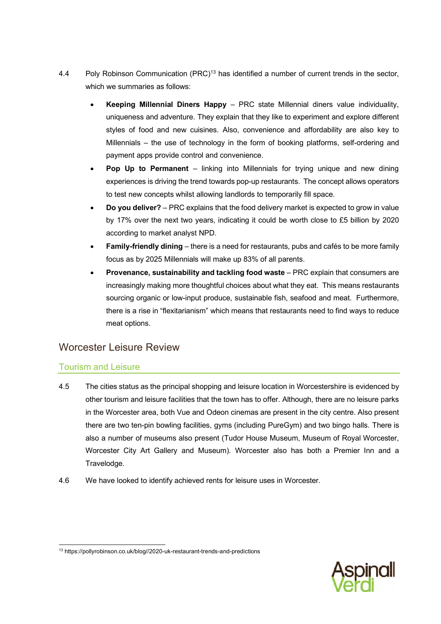- 4.4 Poly Robinson Communication (PRC)<sup>13</sup> has identified a number of current trends in the sector, which we summaries as follows:
	- **Keeping Millennial Diners Happy** PRC state Millennial diners value individuality, uniqueness and adventure. They explain that they like to experiment and explore different styles of food and new cuisines. Also, convenience and affordability are also key to Millennials – the use of technology in the form of booking platforms, self-ordering and payment apps provide control and convenience.
	- **Pop Up to Permanent** linking into Millennials for trying unique and new dining experiences is driving the trend towards pop-up restaurants. The concept allows operators to test new concepts whilst allowing landlords to temporarily fill space.
	- **Do you deliver?** PRC explains that the food delivery market is expected to grow in value by 17% over the next two years, indicating it could be worth close to £5 billion by 2020 according to market analyst NPD.
	- **Family-friendly dining** there is a need for restaurants, pubs and cafés to be more family focus as by 2025 Millennials will make up 83% of all parents.
	- **Provenance, sustainability and tackling food waste** PRC explain that consumers are increasingly making more thoughtful choices about what they eat. This means restaurants sourcing organic or low-input produce, sustainable fish, seafood and meat. Furthermore, there is a rise in "flexitarianism" which means that restaurants need to find ways to reduce meat options.

# <span id="page-27-0"></span>Worcester Leisure Review

# Tourism and Leisure

- 4.5 The cities status as the principal shopping and leisure location in Worcestershire is evidenced by other tourism and leisure facilities that the town has to offer. Although, there are no leisure parks in the Worcester area, both Vue and Odeon cinemas are present in the city centre. Also present there are two ten-pin bowling facilities, gyms (including PureGym) and two bingo halls. There is also a number of museums also present (Tudor House Museum, Museum of Royal Worcester, Worcester City Art Gallery and Museum). Worcester also has both a Premier Inn and a Travelodge.
- 4.6 We have looked to identify achieved rents for leisure uses in Worcester.



<sup>13</sup> https://pollyrobinson.co.uk/blog//2020-uk-restaurant-trends-and-predictions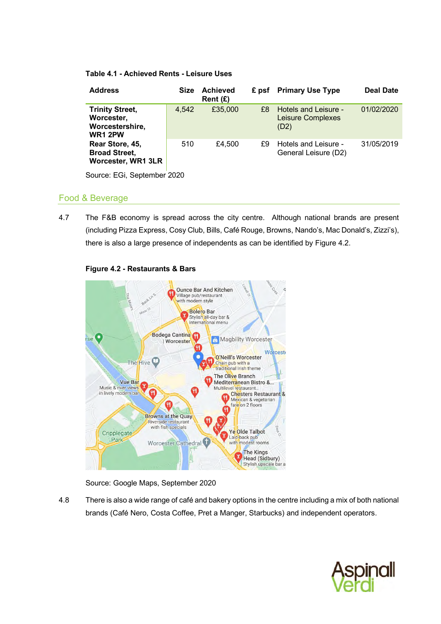#### <span id="page-28-0"></span>**Table 4.1 - Achieved Rents - Leisure Uses**

| <b>Address</b>                                                            | <b>Size</b> | <b>Achieved</b><br>Rent $(E)$ |    | £ psf Primary Use Type                                   | <b>Deal Date</b> |
|---------------------------------------------------------------------------|-------------|-------------------------------|----|----------------------------------------------------------|------------------|
| <b>Trinity Street,</b><br>Worcester,<br>Worcestershire,<br><b>WR1 2PW</b> | 4,542       | £35,000                       | £8 | Hotels and Leisure -<br><b>Leisure Complexes</b><br>(D2) | 01/02/2020       |
| Rear Store, 45,<br><b>Broad Street,</b><br><b>Worcester, WR1 3LR</b>      | 510         | £4,500                        | £9 | Hotels and Leisure -<br>General Leisure (D2)             | 31/05/2019       |

Source: EGi, September 2020

## Food & Beverage

4.7 The F&B economy is spread across the city centre. Although national brands are present (including Pizza Express, Cosy Club, Bills, Café Rouge, Browns, Nando's, Mac Donald's, Zizzi's), there is also a large presence of independents as can be identified by [Figure 4.2.](#page-28-1)

<span id="page-28-1"></span>

#### **Figure 4.2 - Restaurants & Bars**

Source: Google Maps, September 2020

4.8 There is also a wide range of café and bakery options in the centre including a mix of both national brands (Café Nero, Costa Coffee, Pret a Manger, Starbucks) and independent operators.

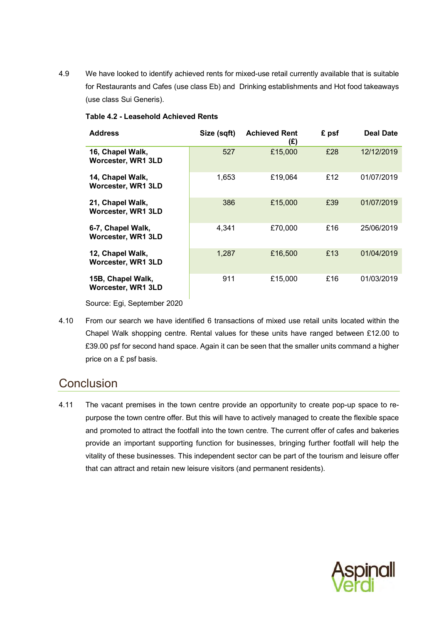4.9 We have looked to identify achieved rents for mixed-use retail currently available that is suitable for Restaurants and Cafes (use class Eb) and Drinking establishments and Hot food takeaways (use class Sui Generis).

| <b>Address</b>                                 | Size (sqft) | <b>Achieved Rent</b><br>(£) | £ psf | <b>Deal Date</b> |
|------------------------------------------------|-------------|-----------------------------|-------|------------------|
| 16, Chapel Walk,<br><b>Worcester, WR1 3LD</b>  | 527         | £15,000                     | £28   | 12/12/2019       |
| 14, Chapel Walk,<br>Worcester, WR1 3LD         | 1,653       | £19,064                     | £12   | 01/07/2019       |
| 21, Chapel Walk,<br><b>Worcester, WR1 3LD</b>  | 386         | £15,000                     | £39   | 01/07/2019       |
| 6-7, Chapel Walk,<br><b>Worcester, WR1 3LD</b> | 4,341       | £70,000                     | £16   | 25/06/2019       |
| 12, Chapel Walk,<br><b>Worcester, WR1 3LD</b>  | 1,287       | £16,500                     | £13   | 01/04/2019       |
| 15B, Chapel Walk,<br><b>Worcester, WR1 3LD</b> | 911         | £15,000                     | £16   | 01/03/2019       |

#### <span id="page-29-0"></span>**Table 4.2 - Leasehold Achieved Rents**

Source: Egi, September 2020

4.10 From our search we have identified 6 transactions of mixed use retail units located within the Chapel Walk shopping centre. Rental values for these units have ranged between £12.00 to £39.00 psf for second hand space. Again it can be seen that the smaller units command a higher price on a £ psf basis.

# **Conclusion**

4.11 The vacant premises in the town centre provide an opportunity to create pop-up space to repurpose the town centre offer. But this will have to actively managed to create the flexible space and promoted to attract the footfall into the town centre. The current offer of cafes and bakeries provide an important supporting function for businesses, bringing further footfall will help the vitality of these businesses. This independent sector can be part of the tourism and leisure offer that can attract and retain new leisure visitors (and permanent residents).

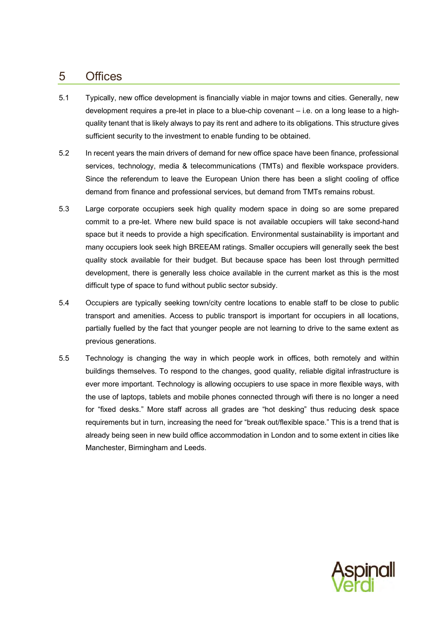# <span id="page-30-0"></span>5 Offices

- 5.1 Typically, new office development is financially viable in major towns and cities. Generally, new development requires a pre-let in place to a blue-chip covenant – i.e. on a long lease to a highquality tenant that is likely always to pay its rent and adhere to its obligations. This structure gives sufficient security to the investment to enable funding to be obtained.
- 5.2 In recent years the main drivers of demand for new office space have been finance, professional services, technology, media & telecommunications (TMTs) and flexible workspace providers. Since the referendum to leave the European Union there has been a slight cooling of office demand from finance and professional services, but demand from TMTs remains robust.
- 5.3 Large corporate occupiers seek high quality modern space in doing so are some prepared commit to a pre-let. Where new build space is not available occupiers will take second-hand space but it needs to provide a high specification. Environmental sustainability is important and many occupiers look seek high BREEAM ratings. Smaller occupiers will generally seek the best quality stock available for their budget. But because space has been lost through permitted development, there is generally less choice available in the current market as this is the most difficult type of space to fund without public sector subsidy.
- 5.4 Occupiers are typically seeking town/city centre locations to enable staff to be close to public transport and amenities. Access to public transport is important for occupiers in all locations, partially fuelled by the fact that younger people are not learning to drive to the same extent as previous generations.
- 5.5 Technology is changing the way in which people work in offices, both remotely and within buildings themselves. To respond to the changes, good quality, reliable digital infrastructure is ever more important. Technology is allowing occupiers to use space in more flexible ways, with the use of laptops, tablets and mobile phones connected through wifi there is no longer a need for "fixed desks." More staff across all grades are "hot desking" thus reducing desk space requirements but in turn, increasing the need for "break out/flexible space." This is a trend that is already being seen in new build office accommodation in London and to some extent in cities like Manchester, Birmingham and Leeds.

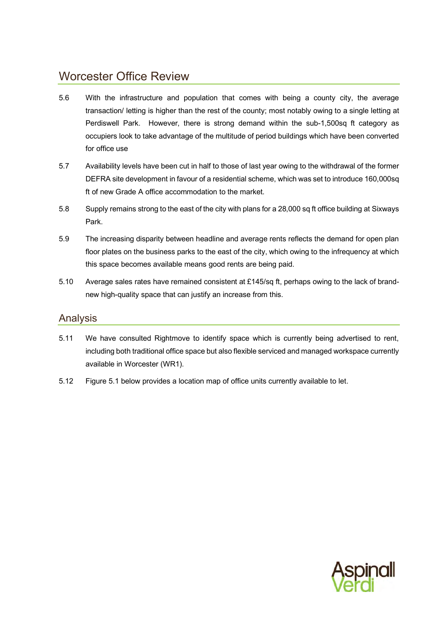# Worcester Office Review

- 5.6 With the infrastructure and population that comes with being a county city, the average transaction/ letting is higher than the rest of the county; most notably owing to a single letting at Perdiswell Park. However, there is strong demand within the sub-1,500sq ft category as occupiers look to take advantage of the multitude of period buildings which have been converted for office use
- 5.7 Availability levels have been cut in half to those of last year owing to the withdrawal of the former DEFRA site development in favour of a residential scheme, which was set to introduce 160,000sq ft of new Grade A office accommodation to the market.
- 5.8 Supply remains strong to the east of the city with plans for a 28,000 sq ft office building at Sixways Park.
- 5.9 The increasing disparity between headline and average rents reflects the demand for open plan floor plates on the business parks to the east of the city, which owing to the infrequency at which this space becomes available means good rents are being paid.
- 5.10 Average sales rates have remained consistent at £145/sq ft, perhaps owing to the lack of brandnew high-quality space that can justify an increase from this.

## <span id="page-31-0"></span>Analysis

- 5.11 We have consulted Rightmove to identify space which is currently being advertised to rent, including both traditional office space but also flexible serviced and managed workspace currently available in Worcester (WR1).
- 5.12 [Figure 5.1](#page-32-0) below provides a location map of office units currently available to let.

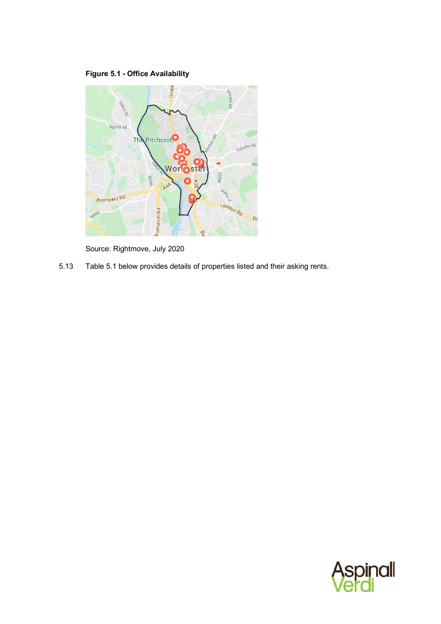# **Figure 5.1 - Office Availability**

<span id="page-32-0"></span>

Source: Rightmove, July 2020

5.13 [Table 5.1](#page-33-0) below provides details of properties listed and their asking rents.

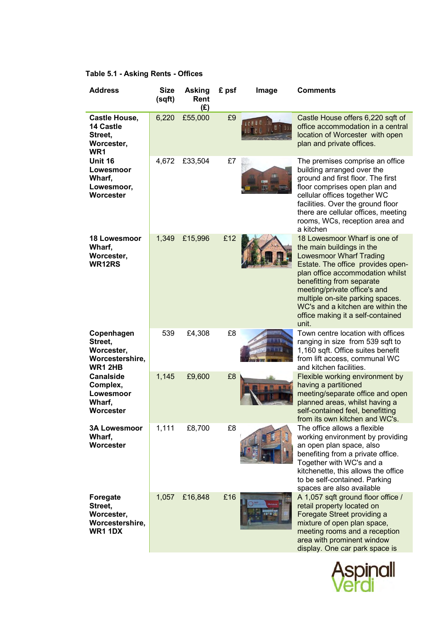# <span id="page-33-0"></span>**Table 5.1 - Asking Rents - Offices**

| <b>Address</b>                                                                       | <b>Size</b><br>(sqft) | <b>Asking</b><br>Rent<br>(E) | £ psf | Image | <b>Comments</b>                                                                                                                                                                                                                                                                                                                                          |
|--------------------------------------------------------------------------------------|-----------------------|------------------------------|-------|-------|----------------------------------------------------------------------------------------------------------------------------------------------------------------------------------------------------------------------------------------------------------------------------------------------------------------------------------------------------------|
| <b>Castle House,</b><br><b>14 Castle</b><br>Street,<br>Worcester,<br>WR <sub>1</sub> | 6,220                 | £55,000                      | £9    |       | Castle House offers 6,220 sqft of<br>office accommodation in a central<br>location of Worcester with open<br>plan and private offices.                                                                                                                                                                                                                   |
| Unit 16<br>Lowesmoor<br>Wharf,<br>Lowesmoor,<br>Worcester                            | 4,672                 | £33,504                      | £7    | em    | The premises comprise an office<br>building arranged over the<br>ground and first floor. The first<br>floor comprises open plan and<br>cellular offices together WC<br>facilities. Over the ground floor<br>there are cellular offices, meeting<br>rooms, WCs, reception area and<br>a kitchen                                                           |
| <b>18 Lowesmoor</b><br>Wharf,<br>Worcester,<br>WR12RS                                | 1,349                 | £15,996                      | £12   |       | 18 Lowesmoor Wharf is one of<br>the main buildings in the<br><b>Lowesmoor Wharf Trading</b><br>Estate. The office provides open-<br>plan office accommodation whilst<br>benefitting from separate<br>meeting/private office's and<br>multiple on-site parking spaces.<br>WC's and a kitchen are within the<br>office making it a self-contained<br>unit. |
| Copenhagen<br>Street,<br>Worcester,<br>Worcestershire,<br><b>WR1 2HB</b>             | 539                   | £4,308                       | £8    |       | Town centre location with offices<br>ranging in size from 539 sqft to<br>1,160 sqft. Office suites benefit<br>from lift access, communal WC<br>and kitchen facilities.                                                                                                                                                                                   |
| <b>Canalside</b><br>Complex,<br>Lowesmoor<br>Wharf,<br>Worcester                     | 1,145                 | £9,600                       | £8    |       | Flexible working environment by<br>having a partitioned<br>meeting/separate office and open<br>planned areas, whilst having a<br>self-contained feel, benefitting<br>from its own kitchen and WC's.                                                                                                                                                      |
| <b>3A Lowesmoor</b><br>Wharf,<br>Worcester                                           | 1,111                 | £8,700                       | £8    |       | The office allows a flexible<br>working environment by providing<br>an open plan space, also<br>benefiting from a private office.<br>Together with WC's and a<br>kitchenette, this allows the office<br>to be self-contained. Parking<br>spaces are also available                                                                                       |
| Foregate<br>Street,<br>Worcester,<br>Worcestershire,<br><b>WR1 1DX</b>               | 1,057                 | £16,848                      | £16   |       | A 1,057 sqft ground floor office /<br>retail property located on<br>Foregate Street providing a<br>mixture of open plan space,<br>meeting rooms and a reception<br>area with prominent window<br>display. One car park space is                                                                                                                          |

Aspinall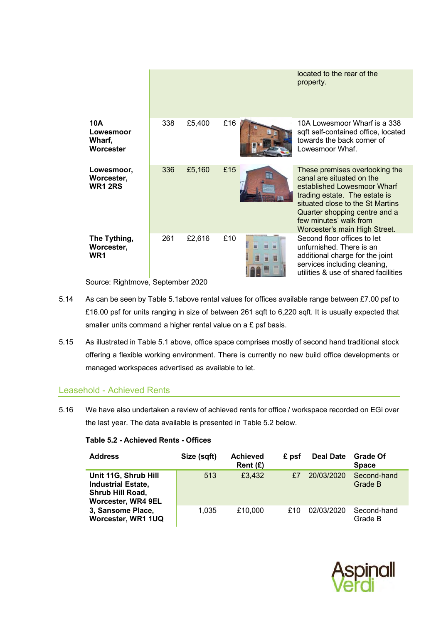|                                               |     |        |     |                  | located to the rear of the<br>property.                                                                                                                                                                                                                     |
|-----------------------------------------------|-----|--------|-----|------------------|-------------------------------------------------------------------------------------------------------------------------------------------------------------------------------------------------------------------------------------------------------------|
| 10A<br>Lowesmoor<br>Wharf,<br>Worcester       | 338 | £5,400 | £16 |                  | 10A Lowesmoor Wharf is a 338<br>sqft self-contained office, located<br>towards the back corner of<br>Lowesmoor Whaf                                                                                                                                         |
| Lowesmoor,<br>Worcester,<br><b>WR1 2RS</b>    | 336 | £5,160 | £15 |                  | These premises overlooking the<br>canal are situated on the<br>established Lowesmoor Wharf<br>trading estate. The estate is<br>situated close to the St Martins<br>Quarter shopping centre and a<br>few minutes' walk from<br>Worcester's main High Street. |
| The Tything,<br>Worcester,<br>WR <sub>1</sub> | 261 | £2,616 | £10 | m<br>獵<br>翤<br>m | Second floor offices to let<br>unfurnished. There is an<br>additional charge for the joint<br>services including cleaning,<br>utilities & use of shared facilities                                                                                          |

Source: Rightmove, September 2020

- 5.14 As can be seen b[y Table 5.1a](#page-33-0)bove rental values for offices available range between £7.00 psf to £16.00 psf for units ranging in size of between 261 sqft to 6,220 sqft. It is usually expected that smaller units command a higher rental value on a £ psf basis.
- 5.15 As illustrated i[n Table 5.1](#page-33-0) above, office space comprises mostly of second hand traditional stock offering a flexible working environment. There is currently no new build office developments or managed workspaces advertised as available to let.

## Leasehold - Achieved Rents

5.16 We have also undertaken a review of achieved rents for office / workspace recorded on EGi over the last year. The data available is presented in [Table 5.2](#page-34-0) below.

| <b>Address</b>                                                                                     | Size (sqft) | <b>Achieved</b><br>Rent $(E)$ | £ psf | <b>Deal Date</b> | <b>Grade Of</b><br><b>Space</b> |
|----------------------------------------------------------------------------------------------------|-------------|-------------------------------|-------|------------------|---------------------------------|
| Unit 11G, Shrub Hill<br><b>Industrial Estate,</b><br>Shrub Hill Road,<br><b>Worcester, WR4 9EL</b> | 513         | £3,432                        | £7    | 20/03/2020       | Second-hand<br>Grade B          |
| 3, Sansome Place,<br>Worcester, WR1 1UQ                                                            | 1.035       | £10,000                       | £10   | 02/03/2020       | Second-hand<br>Grade B          |

#### <span id="page-34-0"></span>**Table 5.2 - Achieved Rents - Offices**

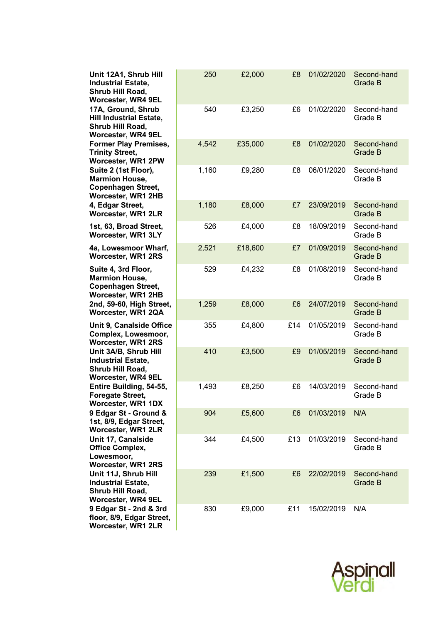| Unit 12A1, Shrub Hill<br><b>Industrial Estate,</b><br>Shrub Hill Road,<br>Worcester, WR4 9EL       | 250   | £2,000  | £8  | 01/02/2020 | Second-hand<br>Grade B        |
|----------------------------------------------------------------------------------------------------|-------|---------|-----|------------|-------------------------------|
| 17A, Ground, Shrub<br><b>Hill Industrial Estate,</b><br>Shrub Hill Road,<br>Worcester, WR4 9EL     | 540   | £3,250  | £6  | 01/02/2020 | Second-hand<br>Grade B        |
| <b>Former Play Premises,</b><br><b>Trinity Street,</b><br>Worcester, WR1 2PW                       | 4,542 | £35,000 | £8  | 01/02/2020 | Second-hand<br>Grade B        |
| Suite 2 (1st Floor),<br><b>Marmion House,</b><br><b>Copenhagen Street,</b><br>Worcester, WR1 2HB   | 1,160 | £9,280  | £8  | 06/01/2020 | Second-hand<br>Grade B        |
| 4, Edgar Street,<br><b>Worcester, WR1 2LR</b>                                                      | 1,180 | £8,000  | £7  | 23/09/2019 | Second-hand<br>Grade B        |
| 1st, 63, Broad Street,<br>Worcester, WR1 3LY                                                       | 526   | £4,000  | £8  | 18/09/2019 | Second-hand<br>Grade B        |
| 4a, Lowesmoor Wharf,<br><b>Worcester, WR1 2RS</b>                                                  | 2,521 | £18,600 | £7  | 01/09/2019 | Second-hand<br><b>Grade B</b> |
| Suite 4, 3rd Floor,<br><b>Marmion House,</b><br><b>Copenhagen Street,</b><br>Worcester, WR1 2HB    | 529   | £4,232  | £8  | 01/08/2019 | Second-hand<br>Grade B        |
| 2nd, 59-60, High Street,<br>Worcester, WR1 2QA                                                     | 1,259 | £8,000  | £6  | 24/07/2019 | Second-hand<br>Grade B        |
| Unit 9, Canalside Office<br>Complex, Lowesmoor,<br><b>Worcester, WR1 2RS</b>                       | 355   | £4,800  | £14 | 01/05/2019 | Second-hand<br>Grade B        |
| Unit 3A/B, Shrub Hill<br><b>Industrial Estate,</b><br>Shrub Hill Road,<br>Worcester, WR4 9EL       | 410   | £3,500  | £9  | 01/05/2019 | Second-hand<br>Grade B        |
| Entire Building, 54-55,<br><b>Foregate Street,</b><br>Worcester, WR1 1DX                           | 1,493 | £8,250  | £6  | 14/03/2019 | Second-hand<br>Grade B        |
| 9 Edgar St - Ground &<br>1st, 8/9, Edgar Street,<br>Worcester, WR1 2LR                             | 904   | £5,600  | £6  | 01/03/2019 | N/A                           |
| Unit 17, Canalside<br><b>Office Complex,</b><br>Lowesmoor,<br><b>Worcester, WR1 2RS</b>            | 344   | £4,500  | £13 | 01/03/2019 | Second-hand<br>Grade B        |
| Unit 11J, Shrub Hill<br><b>Industrial Estate,</b><br>Shrub Hill Road,<br><b>Worcester, WR4 9EL</b> | 239   | £1,500  | £6  | 22/02/2019 | Second-hand<br>Grade B        |
| 9 Edgar St - 2nd & 3rd<br>floor, 8/9, Edgar Street,<br>Worcester, WR1 2LR                          | 830   | £9,000  | £11 | 15/02/2019 | N/A                           |

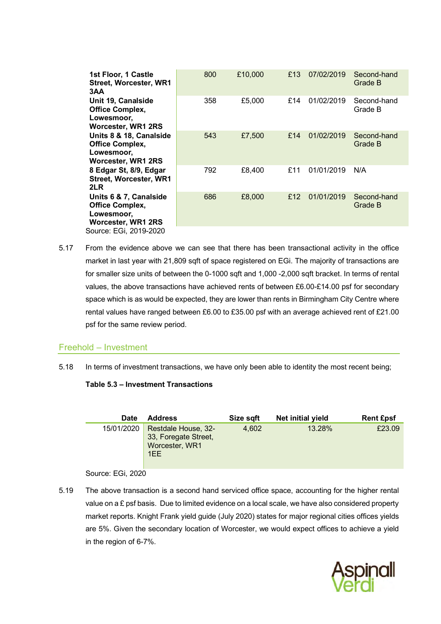| 1st Floor, 1 Castle<br><b>Street, Worcester, WR1</b>                                  | 800 | £10,000 | £13 | 07/02/2019 | Second-hand<br>Grade B |
|---------------------------------------------------------------------------------------|-----|---------|-----|------------|------------------------|
| 3AA<br>Unit 19, Canalside<br><b>Office Complex,</b>                                   | 358 | £5,000  | £14 | 01/02/2019 | Second-hand<br>Grade B |
| Lowesmoor,<br><b>Worcester, WR1 2RS</b>                                               |     |         |     |            |                        |
| Units 8 & 18, Canalside<br><b>Office Complex,</b><br>Lowesmoor,<br>Worcester, WR1 2RS | 543 | £7,500  | £14 | 01/02/2019 | Second-hand<br>Grade B |
| 8 Edgar St, 8/9, Edgar<br><b>Street, Worcester, WR1</b><br>2LR                        | 792 | £8,400  | £11 | 01/01/2019 | N/A                    |
| Units 6 & 7, Canalside<br><b>Office Complex,</b><br>Lowesmoor,<br>Worcester, WR1 2RS  | 686 | £8,000  | £12 | 01/01/2019 | Second-hand<br>Grade B |
| Source: EGi, 2019-2020                                                                |     |         |     |            |                        |

5.17 From the evidence above we can see that there has been transactional activity in the office market in last year with 21,809 sqft of space registered on EGi. The majority of transactions are for smaller size units of between the 0-1000 sqft and 1,000 -2,000 sqft bracket. In terms of rental values, the above transactions have achieved rents of between £6.00-£14.00 psf for secondary space which is as would be expected, they are lower than rents in Birmingham City Centre where rental values have ranged between £6.00 to £35.00 psf with an average achieved rent of £21.00 psf for the same review period.

### Freehold – Investment

<span id="page-36-0"></span>5.18 In terms of investment transactions, we have only been able to identity the most recent being;

#### **Table 5.3 – Investment Transactions**

| <b>Date</b> | <b>Address</b>                                                       | Size sqft | Net initial yield | <b>Rent Epsf</b> |
|-------------|----------------------------------------------------------------------|-----------|-------------------|------------------|
| 15/01/2020  | Restdale House, 32-<br>33, Foregate Street,<br>Worcester, WR1<br>1EE | 4.602     | 13.28%            | £23.09           |

#### Source: EGi, 2020

5.19 The above transaction is a second hand serviced office space, accounting for the higher rental value on a  $E$  psf basis. Due to limited evidence on a local scale, we have also considered property market reports. Knight Frank yield guide (July 2020) states for major regional cities offices yields are 5%. Given the secondary location of Worcester, we would expect offices to achieve a yield in the region of 6-7%.

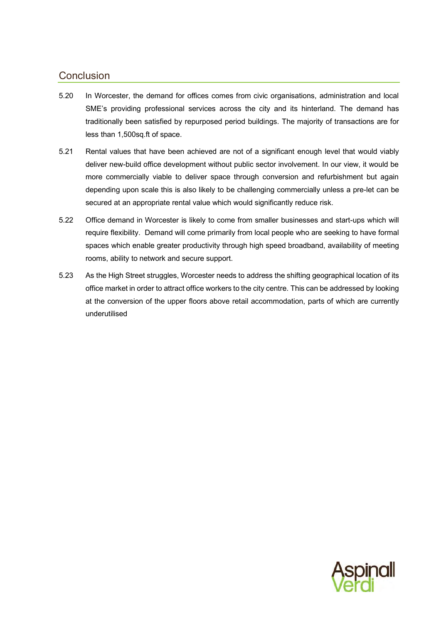# <span id="page-37-0"></span>**Conclusion**

- 5.20 In Worcester, the demand for offices comes from civic organisations, administration and local SME's providing professional services across the city and its hinterland. The demand has traditionally been satisfied by repurposed period buildings. The majority of transactions are for less than 1,500sq.ft of space.
- 5.21 Rental values that have been achieved are not of a significant enough level that would viably deliver new-build office development without public sector involvement. In our view, it would be more commercially viable to deliver space through conversion and refurbishment but again depending upon scale this is also likely to be challenging commercially unless a pre-let can be secured at an appropriate rental value which would significantly reduce risk.
- 5.22 Office demand in Worcester is likely to come from smaller businesses and start-ups which will require flexibility. Demand will come primarily from local people who are seeking to have formal spaces which enable greater productivity through high speed broadband, availability of meeting rooms, ability to network and secure support.
- 5.23 As the High Street struggles, Worcester needs to address the shifting geographical location of its office market in order to attract office workers to the city centre. This can be addressed by looking at the conversion of the upper floors above retail accommodation, parts of which are currently underutilised

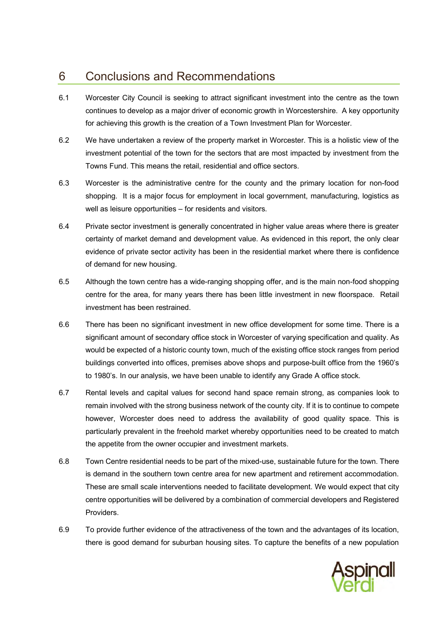# <span id="page-38-0"></span>6 Conclusions and Recommendations

- 6.1 Worcester City Council is seeking to attract significant investment into the centre as the town continues to develop as a major driver of economic growth in Worcestershire. A key opportunity for achieving this growth is the creation of a Town Investment Plan for Worcester.
- 6.2 We have undertaken a review of the property market in Worcester. This is a holistic view of the investment potential of the town for the sectors that are most impacted by investment from the Towns Fund. This means the retail, residential and office sectors.
- 6.3 Worcester is the administrative centre for the county and the primary location for non-food shopping. It is a major focus for employment in local government, manufacturing, logistics as well as leisure opportunities – for residents and visitors.
- 6.4 Private sector investment is generally concentrated in higher value areas where there is greater certainty of market demand and development value. As evidenced in this report, the only clear evidence of private sector activity has been in the residential market where there is confidence of demand for new housing.
- 6.5 Although the town centre has a wide-ranging shopping offer, and is the main non-food shopping centre for the area, for many years there has been little investment in new floorspace. Retail investment has been restrained.
- 6.6 There has been no significant investment in new office development for some time. There is a significant amount of secondary office stock in Worcester of varying specification and quality. As would be expected of a historic county town, much of the existing office stock ranges from period buildings converted into offices, premises above shops and purpose-built office from the 1960's to 1980's. In our analysis, we have been unable to identify any Grade A office stock.
- 6.7 Rental levels and capital values for second hand space remain strong, as companies look to remain involved with the strong business network of the county city. If it is to continue to compete however, Worcester does need to address the availability of good quality space. This is particularly prevalent in the freehold market whereby opportunities need to be created to match the appetite from the owner occupier and investment markets.
- 6.8 Town Centre residential needs to be part of the mixed-use, sustainable future for the town. There is demand in the southern town centre area for new apartment and retirement accommodation. These are small scale interventions needed to facilitate development. We would expect that city centre opportunities will be delivered by a combination of commercial developers and Registered Providers.
- 6.9 To provide further evidence of the attractiveness of the town and the advantages of its location, there is good demand for suburban housing sites. To capture the benefits of a new population

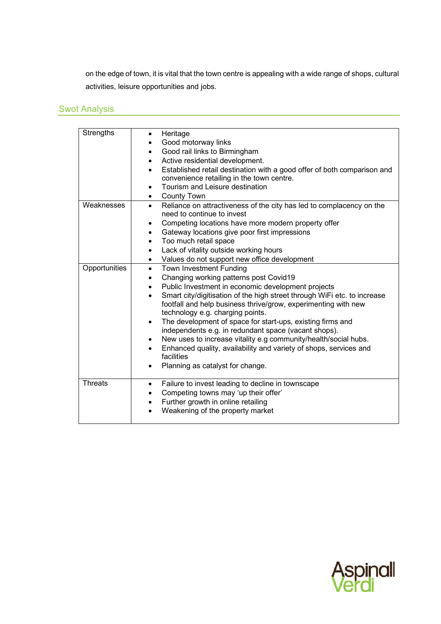on the edge of town, it is vital that the town centre is appealing with a wide range of shops, cultural activities, leisure opportunities and jobs.

# Swot Analysis

| Strengths      | Heritage<br>Good motorway links<br>Good rail links to Birmingham<br>$\bullet$<br>Active residential development.<br>٠<br>Established retail destination with a good offer of both comparison and<br>$\bullet$<br>convenience retailing in the town centre.<br>Tourism and Leisure destination<br>$\bullet$<br><b>County Town</b><br>$\bullet$                                                                                                                                                                                                                                                                                                                                                          |
|----------------|--------------------------------------------------------------------------------------------------------------------------------------------------------------------------------------------------------------------------------------------------------------------------------------------------------------------------------------------------------------------------------------------------------------------------------------------------------------------------------------------------------------------------------------------------------------------------------------------------------------------------------------------------------------------------------------------------------|
| Weaknesses     | Reliance on attractiveness of the city has led to complacency on the<br>$\bullet$<br>need to continue to invest<br>Competing locations have more modern property offer<br>٠<br>Gateway locations give poor first impressions<br>$\bullet$<br>Too much retail space<br>٠<br>Lack of vitality outside working hours<br>$\bullet$<br>Values do not support new office development<br>$\bullet$                                                                                                                                                                                                                                                                                                            |
| Opportunities  | <b>Town Investment Funding</b><br>$\bullet$<br>Changing working patterns post Covid19<br>$\bullet$<br>Public Investment in economic development projects<br>$\bullet$<br>Smart city/digitisation of the high street through WiFi etc. to increase<br>$\bullet$<br>footfall and help business thrive/grow, experimenting with new<br>technology e.g. charging points.<br>The development of space for start-ups, existing firms and<br>٠<br>independents e.g. in redundant space (vacant shops).<br>New uses to increase vitality e.g community/health/social hubs.<br>$\bullet$<br>Enhanced quality, availability and variety of shops, services and<br>facilities<br>Planning as catalyst for change. |
| <b>Threats</b> | Failure to invest leading to decline in townscape<br>$\bullet$<br>Competing towns may 'up their offer'<br>$\bullet$<br>Further growth in online retailing<br>٠<br>Weakening of the property market                                                                                                                                                                                                                                                                                                                                                                                                                                                                                                     |

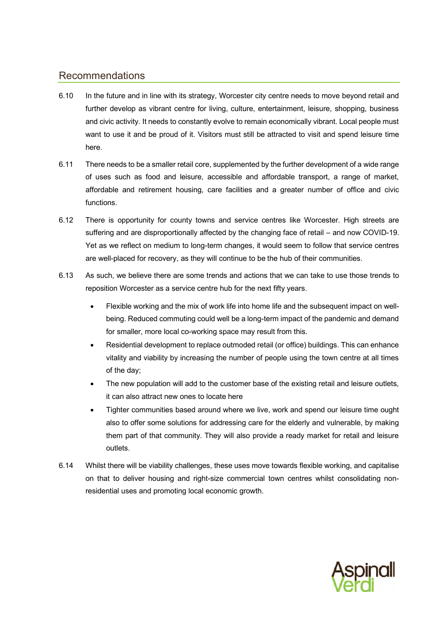# Recommendations

- 6.10 In the future and in line with its strategy, Worcester city centre needs to move beyond retail and further develop as vibrant centre for living, culture, entertainment, leisure, shopping, business and civic activity. It needs to constantly evolve to remain economically vibrant. Local people must want to use it and be proud of it. Visitors must still be attracted to visit and spend leisure time here.
- 6.11 There needs to be a smaller retail core, supplemented by the further development of a wide range of uses such as food and leisure, accessible and affordable transport, a range of market, affordable and retirement housing, care facilities and a greater number of office and civic functions.
- 6.12 There is opportunity for county towns and service centres like Worcester. High streets are suffering and are disproportionally affected by the changing face of retail – and now COVID-19. Yet as we reflect on medium to long-term changes, it would seem to follow that service centres are well-placed for recovery, as they will continue to be the hub of their communities.
- 6.13 As such, we believe there are some trends and actions that we can take to use those trends to reposition Worcester as a service centre hub for the next fifty years.
	- Flexible working and the mix of work life into home life and the subsequent impact on wellbeing. Reduced commuting could well be a long-term impact of the pandemic and demand for smaller, more local co-working space may result from this.
	- Residential development to replace outmoded retail (or office) buildings. This can enhance vitality and viability by increasing the number of people using the town centre at all times of the day;
	- The new population will add to the customer base of the existing retail and leisure outlets, it can also attract new ones to locate here
	- Tighter communities based around where we live, work and spend our leisure time ought also to offer some solutions for addressing care for the elderly and vulnerable, by making them part of that community. They will also provide a ready market for retail and leisure outlets.
- 6.14 Whilst there will be viability challenges, these uses move towards flexible working, and capitalise on that to deliver housing and right-size commercial town centres whilst consolidating nonresidential uses and promoting local economic growth.